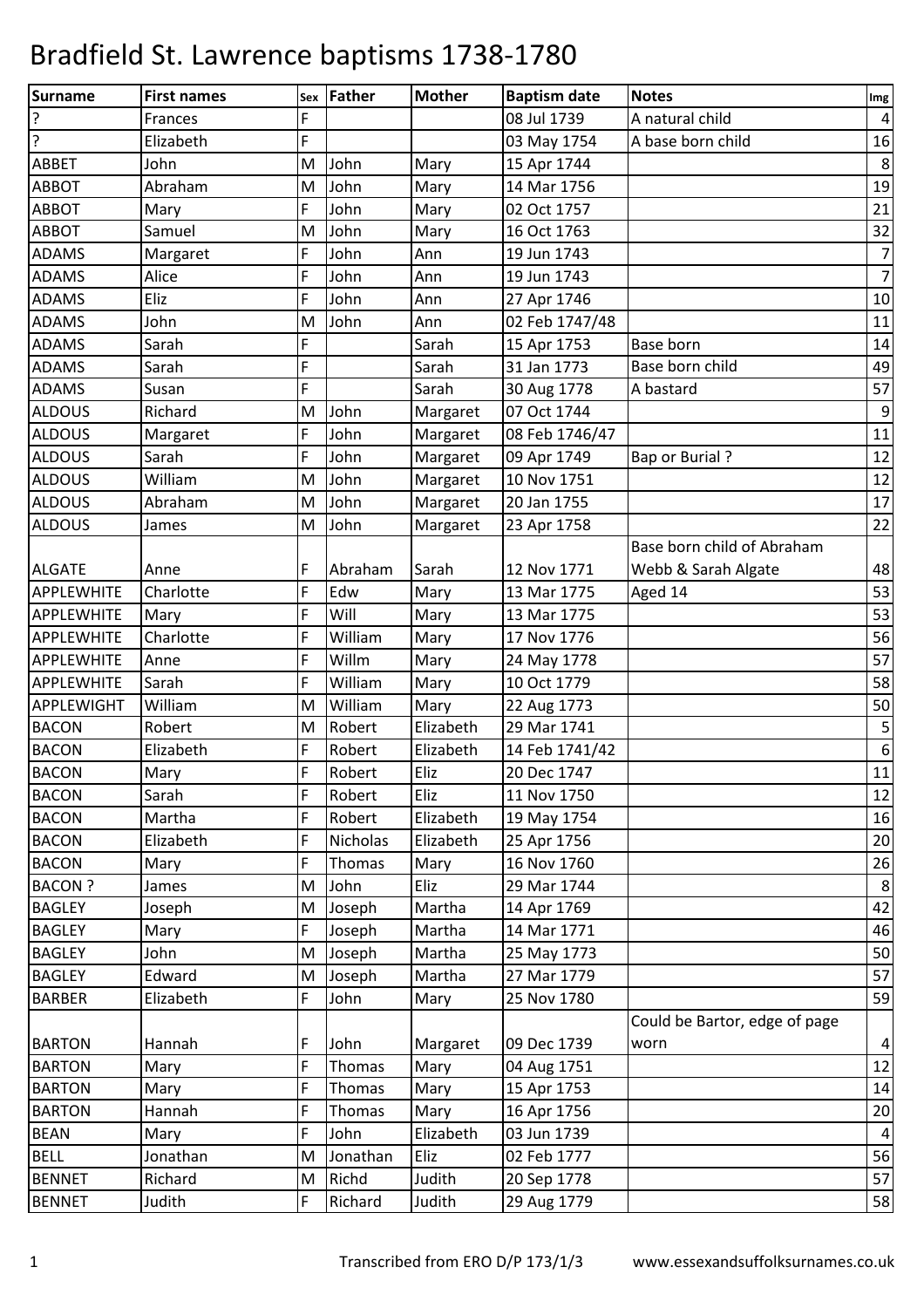| Surname           | <b>First names</b> | Sex | Father   | <b>Mother</b> | <b>Baptism date</b> | <b>Notes</b>                  | Img              |
|-------------------|--------------------|-----|----------|---------------|---------------------|-------------------------------|------------------|
| $\overline{?}$    | Frances            | F   |          |               | 08 Jul 1739         | A natural child               | $\sqrt{4}$       |
| $\overline{?}$    | Elizabeth          | F   |          |               | 03 May 1754         | A base born child             | 16               |
| <b>ABBET</b>      | John               | M   | John     | Mary          | 15 Apr 1744         |                               | $\,8\,$          |
| <b>ABBOT</b>      | Abraham            | M   | John     | Mary          | 14 Mar 1756         |                               | 19               |
| <b>ABBOT</b>      | Mary               | F   | John     | Mary          | 02 Oct 1757         |                               | 21               |
| <b>ABBOT</b>      | Samuel             | M   | John     | Mary          | 16 Oct 1763         |                               | 32               |
| <b>ADAMS</b>      | Margaret           | F   | John     | Ann           | 19 Jun 1743         |                               | $\overline{7}$   |
| <b>ADAMS</b>      | Alice              | F   | John     | Ann           | 19 Jun 1743         |                               | $\overline{7}$   |
| <b>ADAMS</b>      | Eliz               | F   | John     | Ann           | 27 Apr 1746         |                               | $10\,$           |
| <b>ADAMS</b>      | John               | M   | John     | Ann           | 02 Feb 1747/48      |                               | 11               |
| <b>ADAMS</b>      | Sarah              | F   |          | Sarah         | 15 Apr 1753         | Base born                     | 14               |
| <b>ADAMS</b>      | Sarah              | Ë   |          | Sarah         | 31 Jan 1773         | Base born child               | 49               |
| <b>ADAMS</b>      | Susan              | F   |          | Sarah         | 30 Aug 1778         | A bastard                     | 57               |
| <b>ALDOUS</b>     | Richard            | M   | John     | Margaret      | 07 Oct 1744         |                               | $\boldsymbol{9}$ |
| <b>ALDOUS</b>     | Margaret           | F   | John     | Margaret      | 08 Feb 1746/47      |                               | 11               |
| <b>ALDOUS</b>     | Sarah              | F   | John     | Margaret      | 09 Apr 1749         | <b>Bap or Burial?</b>         | 12               |
| <b>ALDOUS</b>     | William            | M   | John     | Margaret      | 10 Nov 1751         |                               | $12\,$           |
| <b>ALDOUS</b>     | Abraham            | M   | John     | Margaret      | 20 Jan 1755         |                               | 17               |
| <b>ALDOUS</b>     | James              | M   | John     | Margaret      | 23 Apr 1758         |                               | 22               |
|                   |                    |     |          |               |                     | Base born child of Abraham    |                  |
| <b>ALGATE</b>     | Anne               | F   | Abraham  | Sarah         | 12 Nov 1771         | Webb & Sarah Algate           | 48               |
| <b>APPLEWHITE</b> | Charlotte          | F   | Edw      | Mary          | 13 Mar 1775         | Aged 14                       | 53               |
| <b>APPLEWHITE</b> | Mary               | F   | Will     | Mary          | 13 Mar 1775         |                               | 53               |
| <b>APPLEWHITE</b> | Charlotte          | F   | William  | Mary          | 17 Nov 1776         |                               | 56               |
| <b>APPLEWHITE</b> | Anne               | F   | Willm    | Mary          | 24 May 1778         |                               | 57               |
| <b>APPLEWHITE</b> | Sarah              | F   | William  | Mary          | 10 Oct 1779         |                               | 58               |
| <b>APPLEWIGHT</b> | William            | M   | William  | Mary          | 22 Aug 1773         |                               | 50               |
| <b>BACON</b>      | Robert             | M   | Robert   | Elizabeth     | 29 Mar 1741         |                               | $\overline{5}$   |
| <b>BACON</b>      | Elizabeth          | F   | Robert   | Elizabeth     | 14 Feb 1741/42      |                               | $\boldsymbol{6}$ |
| <b>BACON</b>      | Mary               | F   | Robert   | Eliz          | 20 Dec 1747         |                               | 11               |
| <b>BACON</b>      | Sarah              | F   | Robert   | Eliz          | 11 Nov 1750         |                               | 12               |
| <b>BACON</b>      | Martha             | F   | Robert   | Elizabeth     | 19 May 1754         |                               | 16               |
| <b>BACON</b>      | Elizabeth          | F   | Nicholas | Elizabeth     | 25 Apr 1756         |                               | $20\,$           |
| <b>BACON</b>      | Mary               | F   | Thomas   | Mary          | 16 Nov 1760         |                               | 26               |
| <b>BACON?</b>     | James              | M   | John     | Eliz          | 29 Mar 1744         |                               | $\,8\,$          |
| <b>BAGLEY</b>     | Joseph             | M   | Joseph   | Martha        | 14 Apr 1769         |                               | 42               |
| <b>BAGLEY</b>     | Mary               | F   | Joseph   | Martha        | 14 Mar 1771         |                               | 46               |
| <b>BAGLEY</b>     | John               | M   | Joseph   | Martha        | 25 May 1773         |                               | 50               |
| <b>BAGLEY</b>     | Edward             | M   | Joseph   | Martha        | 27 Mar 1779         |                               | 57               |
| <b>BARBER</b>     | Elizabeth          | F   | John     | Mary          | 25 Nov 1780         |                               | 59               |
|                   |                    |     |          |               |                     | Could be Bartor, edge of page |                  |
| <b>BARTON</b>     | Hannah             | F   | John     | Margaret      | 09 Dec 1739         | worn                          | $\sqrt{4}$       |
| <b>BARTON</b>     | Mary               | F   | Thomas   | Mary          | 04 Aug 1751         |                               | 12               |
| <b>BARTON</b>     | Mary               | F   | Thomas   | Mary          | 15 Apr 1753         |                               | 14               |
| <b>BARTON</b>     | Hannah             | F   | Thomas   | Mary          | 16 Apr 1756         |                               | 20               |
| <b>BEAN</b>       | Mary               | F   | John     | Elizabeth     | 03 Jun 1739         |                               | $\sqrt{4}$       |
| <b>BELL</b>       | Jonathan           | M   | Jonathan | Eliz          | 02 Feb 1777         |                               | 56               |
| <b>BENNET</b>     | Richard            | M   | Richd    | Judith        | 20 Sep 1778         |                               | 57               |
| <b>BENNET</b>     | Judith             | F   | Richard  | Judith        | 29 Aug 1779         |                               | 58               |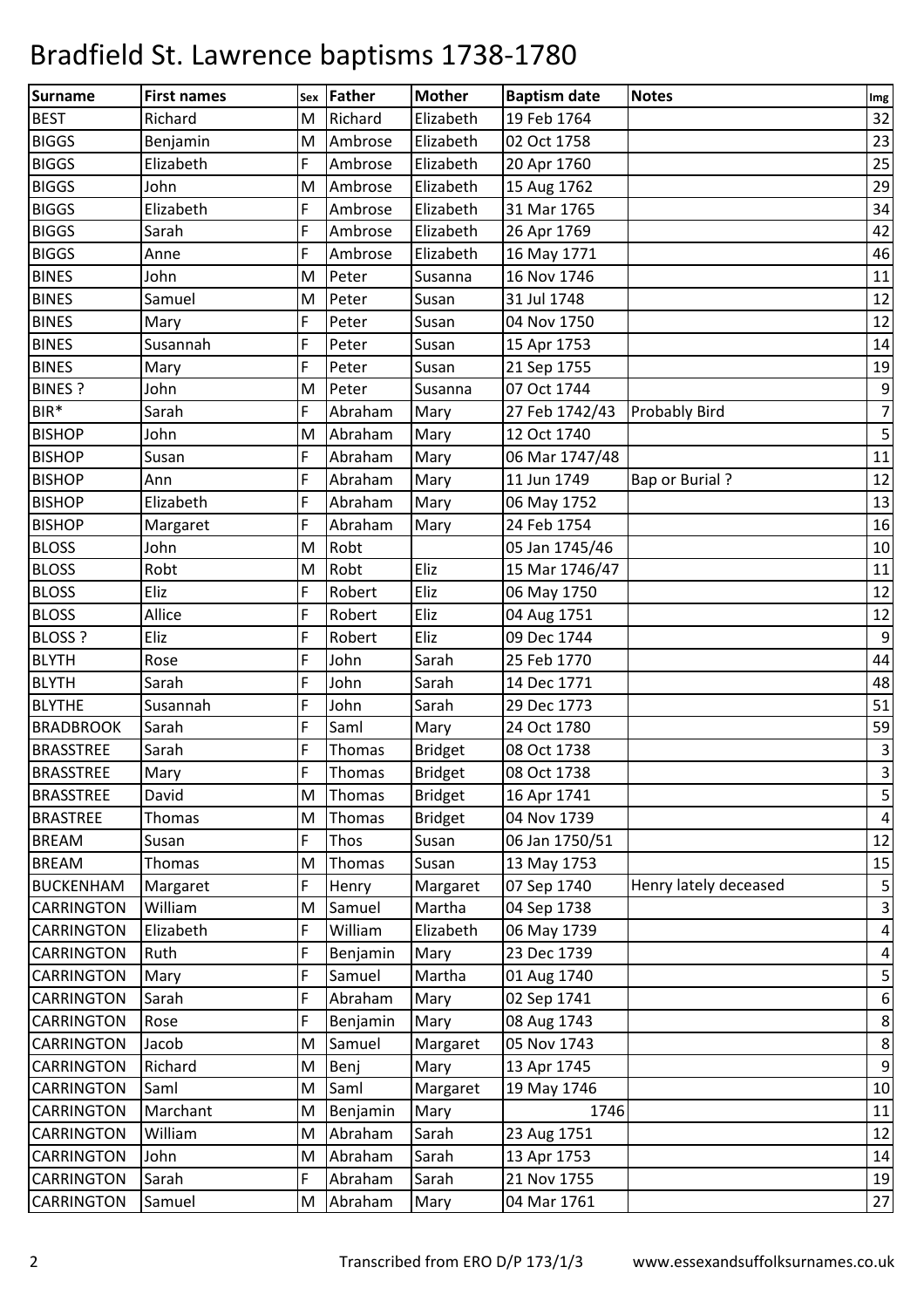| <b>Surname</b>    | <b>First names</b> |   | Sex Father | <b>Mother</b>  | <b>Baptism date</b> | <b>Notes</b>          | Im <sub>g</sub>         |
|-------------------|--------------------|---|------------|----------------|---------------------|-----------------------|-------------------------|
| <b>BEST</b>       | Richard            | M | Richard    | Elizabeth      | 19 Feb 1764         |                       | 32                      |
| <b>BIGGS</b>      | Benjamin           | M | Ambrose    | Elizabeth      | 02 Oct 1758         |                       | 23                      |
| <b>BIGGS</b>      | Elizabeth          | F | Ambrose    | Elizabeth      | 20 Apr 1760         |                       | 25                      |
| <b>BIGGS</b>      | John               | M | Ambrose    | Elizabeth      | 15 Aug 1762         |                       | 29                      |
| <b>BIGGS</b>      | Elizabeth          | F | Ambrose    | Elizabeth      | 31 Mar 1765         |                       | 34                      |
| <b>BIGGS</b>      | Sarah              | F | Ambrose    | Elizabeth      | 26 Apr 1769         |                       | 42                      |
| <b>BIGGS</b>      | Anne               | F | Ambrose    | Elizabeth      | 16 May 1771         |                       | 46                      |
| <b>BINES</b>      | John               | M | Peter      | Susanna        | 16 Nov 1746         |                       | 11                      |
| <b>BINES</b>      | Samuel             | M | Peter      | Susan          | 31 Jul 1748         |                       | 12                      |
| <b>BINES</b>      | Mary               | F | Peter      | Susan          | 04 Nov 1750         |                       | 12                      |
| <b>BINES</b>      | Susannah           | F | Peter      | Susan          | 15 Apr 1753         |                       | 14                      |
| <b>BINES</b>      | Mary               | F | Peter      | Susan          | 21 Sep 1755         |                       | 19                      |
| <b>BINES?</b>     | John               | M | Peter      | Susanna        | 07 Oct 1744         |                       | $9\,$                   |
| BIR*              | Sarah              | F | Abraham    | Mary           | 27 Feb 1742/43      | <b>Probably Bird</b>  | $\overline{7}$          |
| <b>BISHOP</b>     | John               | M | Abraham    | Mary           | 12 Oct 1740         |                       | 5                       |
| <b>BISHOP</b>     | Susan              | F | Abraham    | Mary           | 06 Mar 1747/48      |                       | 11                      |
| <b>BISHOP</b>     | Ann                | F | Abraham    | Mary           | 11 Jun 1749         | <b>Bap or Burial?</b> | 12                      |
| <b>BISHOP</b>     | Elizabeth          | F | Abraham    | Mary           | 06 May 1752         |                       | 13                      |
| <b>BISHOP</b>     | Margaret           | F | Abraham    | Mary           | 24 Feb 1754         |                       | 16                      |
| <b>BLOSS</b>      | John               | M | Robt       |                | 05 Jan 1745/46      |                       | 10                      |
| <b>BLOSS</b>      | Robt               | M | Robt       | Eliz           | 15 Mar 1746/47      |                       | $11\,$                  |
| <b>BLOSS</b>      | Eliz               | F | Robert     | Eliz           | 06 May 1750         |                       | 12                      |
| <b>BLOSS</b>      | Allice             | F | Robert     | Eliz           | 04 Aug 1751         |                       | 12                      |
| <b>BLOSS ?</b>    | Eliz               | F | Robert     | Eliz           | 09 Dec 1744         |                       | $\overline{9}$          |
| <b>BLYTH</b>      | Rose               | F | John       | Sarah          | 25 Feb 1770         |                       | 44                      |
| <b>BLYTH</b>      | Sarah              | F | John       | Sarah          | 14 Dec 1771         |                       | 48                      |
| <b>BLYTHE</b>     | Susannah           | F | John       | Sarah          | 29 Dec 1773         |                       | 51                      |
| <b>BRADBROOK</b>  | Sarah              | F | Saml       | Mary           | 24 Oct 1780         |                       | 59                      |
| <b>BRASSTREE</b>  | Sarah              | F | Thomas     | <b>Bridget</b> | 08 Oct 1738         |                       | $\overline{\mathbf{3}}$ |
| <b>BRASSTREE</b>  | Mary               | F | Thomas     | <b>Bridget</b> | 08 Oct 1738         |                       | $\overline{3}$          |
| <b>BRASSTREE</b>  | David              | М | Thomas     | <b>Bridget</b> | 16 Apr 1741         |                       | 5                       |
| <b>BRASTREE</b>   | <b>Thomas</b>      | M | Thomas     | <b>Bridget</b> | 04 Nov 1739         |                       | $\overline{a}$          |
| <b>BREAM</b>      | Susan              | F | Thos       | Susan          | 06 Jan 1750/51      |                       | 12                      |
| <b>BREAM</b>      | Thomas             | M | Thomas     | Susan          | 13 May 1753         |                       | 15                      |
| <b>BUCKENHAM</b>  | Margaret           | F | Henry      | Margaret       | 07 Sep 1740         | Henry lately deceased | $\overline{\mathbf{5}}$ |
| <b>CARRINGTON</b> | William            | M | Samuel     | Martha         | 04 Sep 1738         |                       | $\overline{3}$          |
| <b>CARRINGTON</b> | Elizabeth          | F | William    | Elizabeth      | 06 May 1739         |                       | $\overline{a}$          |
| <b>CARRINGTON</b> | Ruth               | F | Benjamin   | Mary           | 23 Dec 1739         |                       | $\overline{a}$          |
| <b>CARRINGTON</b> | Mary               | F | Samuel     | Martha         | 01 Aug 1740         |                       | $\mathsf S$             |
| <b>CARRINGTON</b> | Sarah              | F | Abraham    | Mary           | 02 Sep 1741         |                       | $\boldsymbol{6}$        |
| <b>CARRINGTON</b> | Rose               | F | Benjamin   | Mary           | 08 Aug 1743         |                       | $\bf 8$                 |
| <b>CARRINGTON</b> | Jacob              | M | Samuel     | Margaret       | 05 Nov 1743         |                       | $\bf 8$                 |
| <b>CARRINGTON</b> | Richard            | M | Benj       | Mary           | 13 Apr 1745         |                       | $\boldsymbol{9}$        |
| <b>CARRINGTON</b> | Saml               | M | Saml       | Margaret       | 19 May 1746         |                       | 10                      |
| <b>CARRINGTON</b> | Marchant           | M | Benjamin   | Mary           | 1746                |                       | 11                      |
| <b>CARRINGTON</b> | William            | M | Abraham    | Sarah          | 23 Aug 1751         |                       | 12                      |
| <b>CARRINGTON</b> | John               | м | Abraham    | Sarah          | 13 Apr 1753         |                       | 14                      |
| <b>CARRINGTON</b> | Sarah              | F | Abraham    | Sarah          | 21 Nov 1755         |                       | 19                      |
| <b>CARRINGTON</b> | Samuel             | M | Abraham    | Mary           | 04 Mar 1761         |                       | $27\,$                  |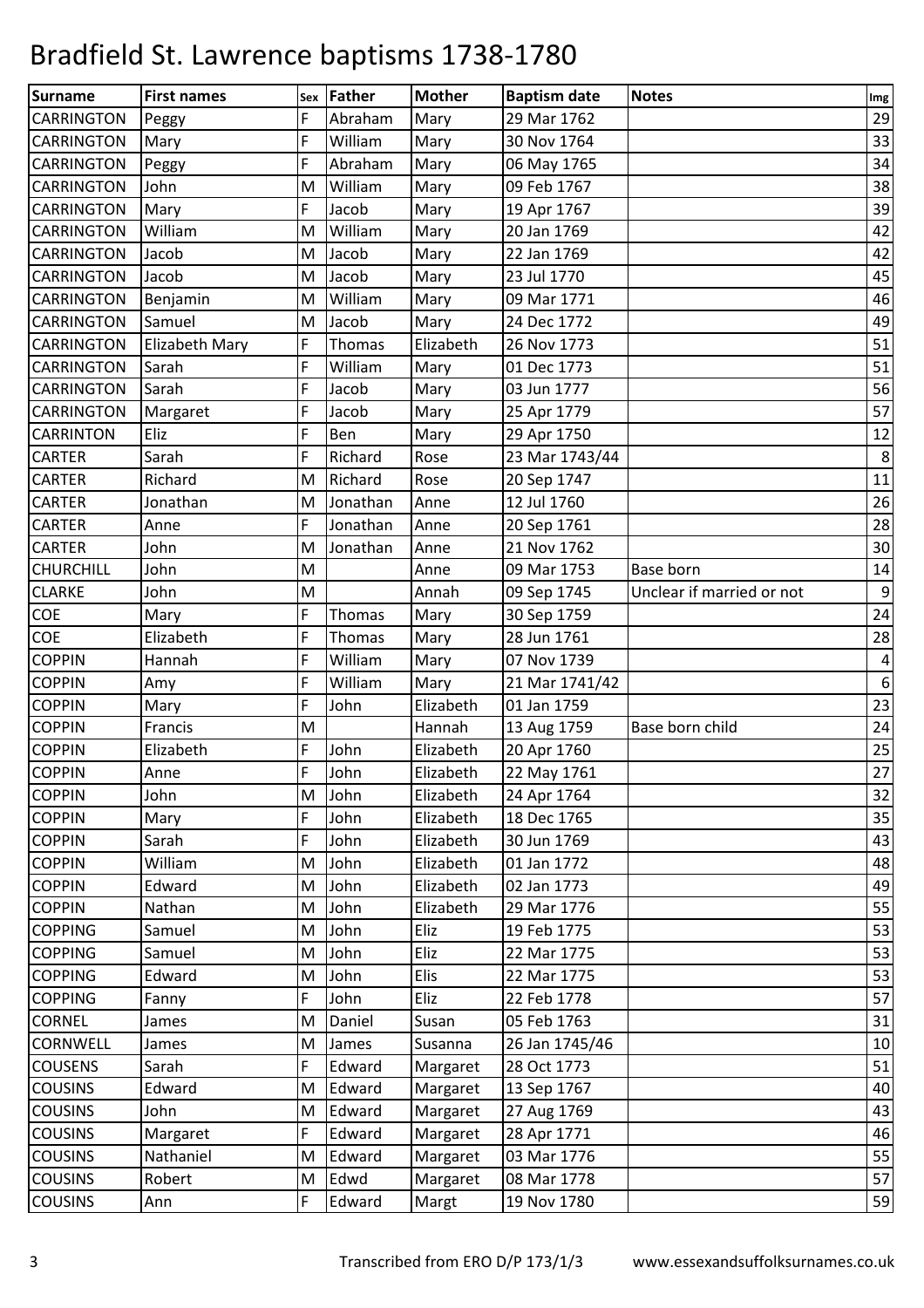| <b>Surname</b>    | <b>First names</b>    |   | sex Father | <b>Mother</b> | <b>Baptism date</b> | <b>Notes</b>              | Im <sub>g</sub>  |
|-------------------|-----------------------|---|------------|---------------|---------------------|---------------------------|------------------|
| <b>CARRINGTON</b> | Peggy                 | F | Abraham    | Mary          | 29 Mar 1762         |                           | 29               |
| <b>CARRINGTON</b> | Mary                  | F | William    | Mary          | 30 Nov 1764         |                           | 33               |
| <b>CARRINGTON</b> | Peggy                 | F | Abraham    | Mary          | 06 May 1765         |                           | 34               |
| <b>CARRINGTON</b> | John                  | M | William    | Mary          | 09 Feb 1767         |                           | 38               |
| <b>CARRINGTON</b> | Mary                  | F | Jacob      | Mary          | 19 Apr 1767         |                           | 39               |
| <b>CARRINGTON</b> | William               | M | William    | Mary          | 20 Jan 1769         |                           | 42               |
| <b>CARRINGTON</b> | Jacob                 | M | Jacob      | Mary          | 22 Jan 1769         |                           | 42               |
| <b>CARRINGTON</b> | Jacob                 | M | Jacob      | Mary          | 23 Jul 1770         |                           | 45               |
| <b>CARRINGTON</b> | Benjamin              | M | William    | Mary          | 09 Mar 1771         |                           | 46               |
| <b>CARRINGTON</b> | Samuel                | M | Jacob      | Mary          | 24 Dec 1772         |                           | 49               |
| <b>CARRINGTON</b> | <b>Elizabeth Mary</b> | F | Thomas     | Elizabeth     | 26 Nov 1773         |                           | 51               |
| <b>CARRINGTON</b> | Sarah                 | F | William    | Mary          | 01 Dec 1773         |                           | 51               |
| <b>CARRINGTON</b> | Sarah                 | F | Jacob      | Mary          | 03 Jun 1777         |                           | 56               |
| <b>CARRINGTON</b> | Margaret              | F | Jacob      | Mary          | 25 Apr 1779         |                           | 57               |
| <b>CARRINTON</b>  | Eliz                  | F | Ben        | Mary          | 29 Apr 1750         |                           | 12               |
| <b>CARTER</b>     | Sarah                 | F | Richard    | Rose          | 23 Mar 1743/44      |                           | $\bf 8$          |
| <b>CARTER</b>     | Richard               | M | Richard    | Rose          | 20 Sep 1747         |                           | 11               |
| <b>CARTER</b>     | Jonathan              | M | Jonathan   | Anne          | 12 Jul 1760         |                           | 26               |
| <b>CARTER</b>     | Anne                  | F | Jonathan   | Anne          | 20 Sep 1761         |                           | 28               |
| <b>CARTER</b>     | John                  | M | Jonathan   | Anne          | 21 Nov 1762         |                           | 30 <sup>°</sup>  |
| <b>CHURCHILL</b>  | John                  | M |            | Anne          | 09 Mar 1753         | Base born                 | 14               |
| <b>CLARKE</b>     | John                  | M |            | Annah         | 09 Sep 1745         | Unclear if married or not | $9\,$            |
| COE               | Mary                  | F | Thomas     | Mary          | 30 Sep 1759         |                           | 24               |
| <b>COE</b>        | Elizabeth             | F | Thomas     | Mary          | 28 Jun 1761         |                           | 28               |
| <b>COPPIN</b>     | Hannah                | F | William    | Mary          | 07 Nov 1739         |                           | $\overline{a}$   |
| <b>COPPIN</b>     | Amy                   | F | William    | Mary          | 21 Mar 1741/42      |                           | $\boldsymbol{6}$ |
| <b>COPPIN</b>     | Mary                  | F | John       | Elizabeth     | 01 Jan 1759         |                           | 23               |
| <b>COPPIN</b>     | Francis               | M |            | Hannah        | 13 Aug 1759         | Base born child           | 24               |
| <b>COPPIN</b>     | Elizabeth             | F | John       | Elizabeth     | 20 Apr 1760         |                           | 25               |
| <b>COPPIN</b>     | Anne                  | F | John       | Elizabeth     | 22 May 1761         |                           | 27               |
| <b>COPPIN</b>     | John                  | M | John       | Elizabeth     | 24 Apr 1764         |                           | 32               |
| <b>COPPIN</b>     | Mary                  |   | John       | Elizabeth     | 18 Dec 1765         |                           | 35               |
| <b>COPPIN</b>     | Sarah                 | F | John       | Elizabeth     | 30 Jun 1769         |                           | 43               |
| <b>COPPIN</b>     | William               | M | John       | Elizabeth     | 01 Jan 1772         |                           | 48               |
| <b>COPPIN</b>     | Edward                | M | John       | Elizabeth     | 02 Jan 1773         |                           | 49               |
| <b>COPPIN</b>     | Nathan                | M | John       | Elizabeth     | 29 Mar 1776         |                           | 55               |
| <b>COPPING</b>    | Samuel                | M | John       | Eliz          | 19 Feb 1775         |                           | 53               |
| <b>COPPING</b>    | Samuel                | M | John       | Eliz          | 22 Mar 1775         |                           | 53               |
| <b>COPPING</b>    | Edward                | M | John       | Elis          | 22 Mar 1775         |                           | 53               |
| <b>COPPING</b>    | Fanny                 | F | John       | Eliz          | 22 Feb 1778         |                           | 57               |
| <b>CORNEL</b>     | James                 | M | Daniel     | Susan         | 05 Feb 1763         |                           | 31               |
| <b>CORNWELL</b>   | James                 | M | James      | Susanna       | 26 Jan 1745/46      |                           | 10               |
| <b>COUSENS</b>    | Sarah                 | F | Edward     | Margaret      | 28 Oct 1773         |                           | 51               |
| <b>COUSINS</b>    | Edward                | м | Edward     | Margaret      | 13 Sep 1767         |                           | 40               |
| <b>COUSINS</b>    | John                  | M | Edward     | Margaret      | 27 Aug 1769         |                           | 43               |
| <b>COUSINS</b>    | Margaret              | F | Edward     | Margaret      | 28 Apr 1771         |                           | 46               |
| <b>COUSINS</b>    | Nathaniel             | M | Edward     | Margaret      | 03 Mar 1776         |                           | 55               |
| <b>COUSINS</b>    | Robert                | M | Edwd       | Margaret      | 08 Mar 1778         |                           | 57               |
| <b>COUSINS</b>    | Ann                   | F | Edward     | Margt         | 19 Nov 1780         |                           | 59               |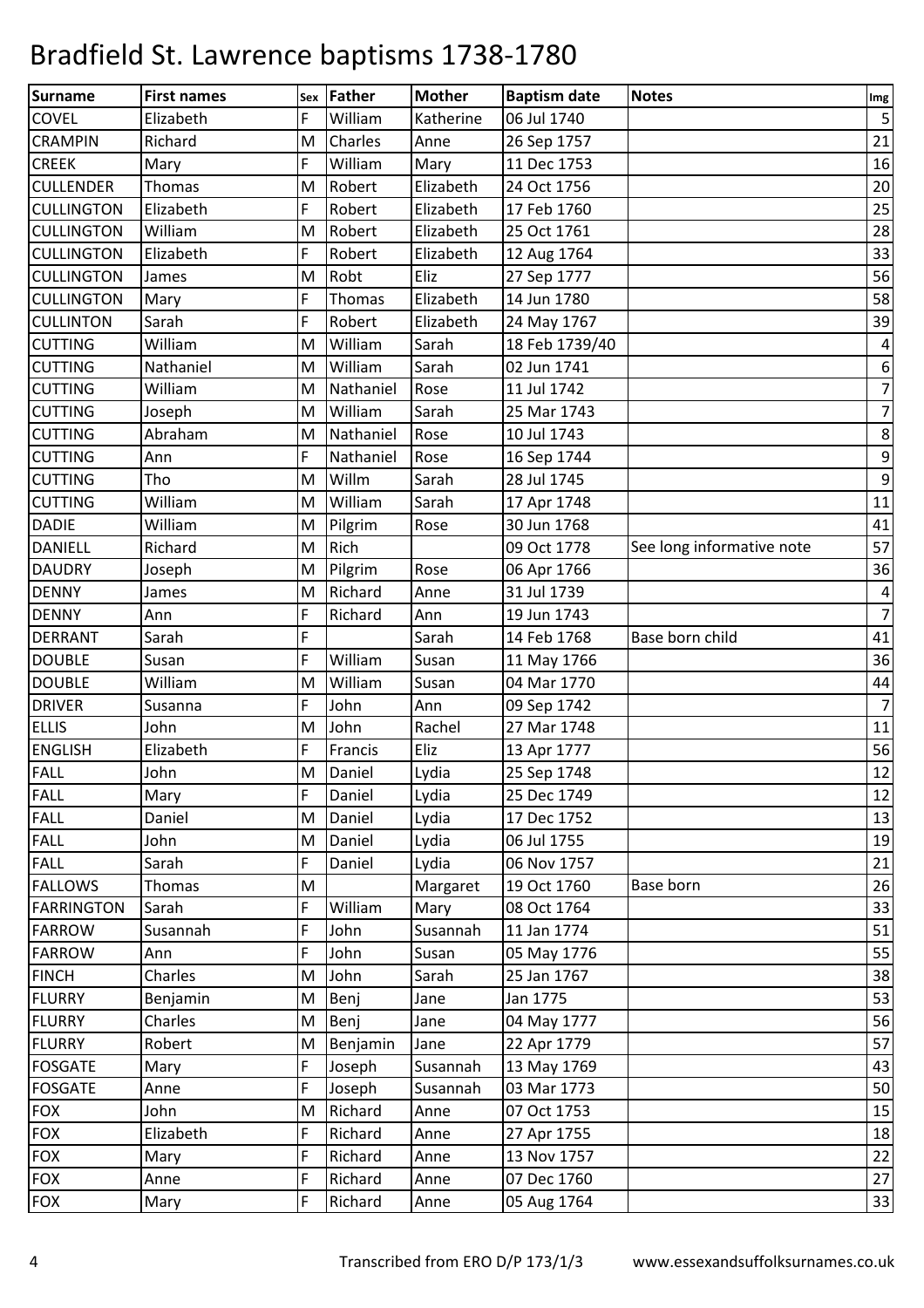| <b>Surname</b>    | <b>First names</b> |          | Father    | <b>Mother</b> | <b>Baptism date</b> | <b>Notes</b>              |                   |
|-------------------|--------------------|----------|-----------|---------------|---------------------|---------------------------|-------------------|
| <b>COVEL</b>      | Elizabeth          | Sex<br>F | William   | Katherine     | 06 Jul 1740         |                           | Img<br>$\sqrt{5}$ |
| <b>CRAMPIN</b>    | Richard            | M        | Charles   | Anne          | 26 Sep 1757         |                           | 21                |
| <b>CREEK</b>      | Mary               | F        | William   | Mary          | 11 Dec 1753         |                           | 16                |
| <b>CULLENDER</b>  | <b>Thomas</b>      | M        | Robert    | Elizabeth     | 24 Oct 1756         |                           | 20                |
| <b>CULLINGTON</b> | Elizabeth          | F        | Robert    | Elizabeth     | 17 Feb 1760         |                           | 25                |
| <b>CULLINGTON</b> | William            | M        | Robert    | Elizabeth     | 25 Oct 1761         |                           | 28                |
| <b>CULLINGTON</b> | Elizabeth          | F        | Robert    | Elizabeth     | 12 Aug 1764         |                           | 33                |
| <b>CULLINGTON</b> | James              | M        | Robt      | Eliz          | 27 Sep 1777         |                           | 56                |
| <b>CULLINGTON</b> | Mary               | F        | Thomas    | Elizabeth     | 14 Jun 1780         |                           | 58                |
| <b>CULLINTON</b>  | Sarah              | F        | Robert    | Elizabeth     | 24 May 1767         |                           | 39                |
| <b>CUTTING</b>    | William            | M        | William   | Sarah         | 18 Feb 1739/40      |                           | $\overline{a}$    |
| <b>CUTTING</b>    | Nathaniel          | M        | William   | Sarah         | 02 Jun 1741         |                           | 6                 |
| <b>CUTTING</b>    | William            | M        | Nathaniel | Rose          | 11 Jul 1742         |                           | $\overline{7}$    |
| <b>CUTTING</b>    | Joseph             | M        | William   | Sarah         | 25 Mar 1743         |                           | $\overline{7}$    |
| <b>CUTTING</b>    | Abraham            | M        | Nathaniel | Rose          | 10 Jul 1743         |                           | $\,8\,$           |
| <b>CUTTING</b>    | Ann                | F        | Nathaniel | Rose          | 16 Sep 1744         |                           | $\boldsymbol{9}$  |
| <b>CUTTING</b>    | Tho                | M        | Willm     | Sarah         | 28 Jul 1745         |                           | $\boldsymbol{9}$  |
| <b>CUTTING</b>    | William            | M        | William   | Sarah         | 17 Apr 1748         |                           | 11                |
| <b>DADIE</b>      | William            | M        | Pilgrim   | Rose          | 30 Jun 1768         |                           | 41                |
| <b>DANIELL</b>    | Richard            | M        | Rich      |               | 09 Oct 1778         |                           | 57                |
|                   |                    | M        |           | Rose          |                     | See long informative note |                   |
| <b>DAUDRY</b>     | Joseph             | M        | Pilgrim   |               | 06 Apr 1766         |                           | 36                |
| <b>DENNY</b>      | James              |          | Richard   | Anne          | 31 Jul 1739         |                           | $\pmb{4}$         |
| <b>DENNY</b>      | Ann                | F        | Richard   | Ann           | 19 Jun 1743         |                           | $\overline{7}$    |
| <b>DERRANT</b>    | Sarah              | F        |           | Sarah         | 14 Feb 1768         | Base born child           | 41                |
| <b>DOUBLE</b>     | Susan              | F        | William   | Susan         | 11 May 1766         |                           | 36                |
| <b>DOUBLE</b>     | William            | M        | William   | Susan         | 04 Mar 1770         |                           | 44                |
| <b>DRIVER</b>     | Susanna            | F        | John      | Ann           | 09 Sep 1742         |                           | $\overline{7}$    |
| <b>ELLIS</b>      | John               | M        | John      | Rachel        | 27 Mar 1748         |                           | 11                |
| <b>ENGLISH</b>    | Elizabeth          | F        | Francis   | Eliz          | 13 Apr 1777         |                           | 56                |
| <b>FALL</b>       | John               | M        | Daniel    | Lydia         | 25 Sep 1748         |                           | 12                |
| <b>FALL</b>       | Mary               | F        | Daniel    | Lydia         | 25 Dec 1749         |                           | 12                |
| <b>FALL</b>       | Daniel             | M        | Daniel    | Lydia         | 17 Dec 1752         |                           | 13                |
| <b>FALL</b>       | John               | M        | Daniel    | Lydia         | 06 Jul 1755         |                           | 19                |
| <b>FALL</b>       | Sarah              | F        | Daniel    | Lydia         | 06 Nov 1757         |                           | 21                |
| <b>FALLOWS</b>    | Thomas             | M        |           | Margaret      | 19 Oct 1760         | Base born                 | 26                |
| <b>FARRINGTON</b> | Sarah              | F        | William   | Mary          | 08 Oct 1764         |                           | 33                |
| <b>FARROW</b>     | Susannah           | F        | John      | Susannah      | 11 Jan 1774         |                           | 51                |
| <b>FARROW</b>     | Ann                | F        | John      | Susan         | 05 May 1776         |                           | 55                |
| <b>FINCH</b>      | Charles            | M        | John      | Sarah         | 25 Jan 1767         |                           | 38                |
| <b>FLURRY</b>     | Benjamin           | M        | Benj      | Jane          | Jan 1775            |                           | 53                |
| <b>FLURRY</b>     | Charles            | M        | Benj      | Jane          | 04 May 1777         |                           | 56                |
| <b>FLURRY</b>     | Robert             | M        | Benjamin  | Jane          | 22 Apr 1779         |                           | 57                |
| <b>FOSGATE</b>    | Mary               | F        | Joseph    | Susannah      | 13 May 1769         |                           | 43                |
| <b>FOSGATE</b>    | Anne               | F        | Joseph    | Susannah      | 03 Mar 1773         |                           | 50                |
| <b>FOX</b>        | John               | M        | Richard   | Anne          | 07 Oct 1753         |                           | 15                |
| <b>FOX</b>        | Elizabeth          | F        | Richard   | Anne          | 27 Apr 1755         |                           | 18                |
| <b>FOX</b>        | Mary               | F        | Richard   | Anne          | 13 Nov 1757         |                           | 22                |
| <b>FOX</b>        | Anne               | F        | Richard   | Anne          | 07 Dec 1760         |                           | 27                |
| <b>FOX</b>        | Mary               | F        | Richard   | Anne          | 05 Aug 1764         |                           | 33                |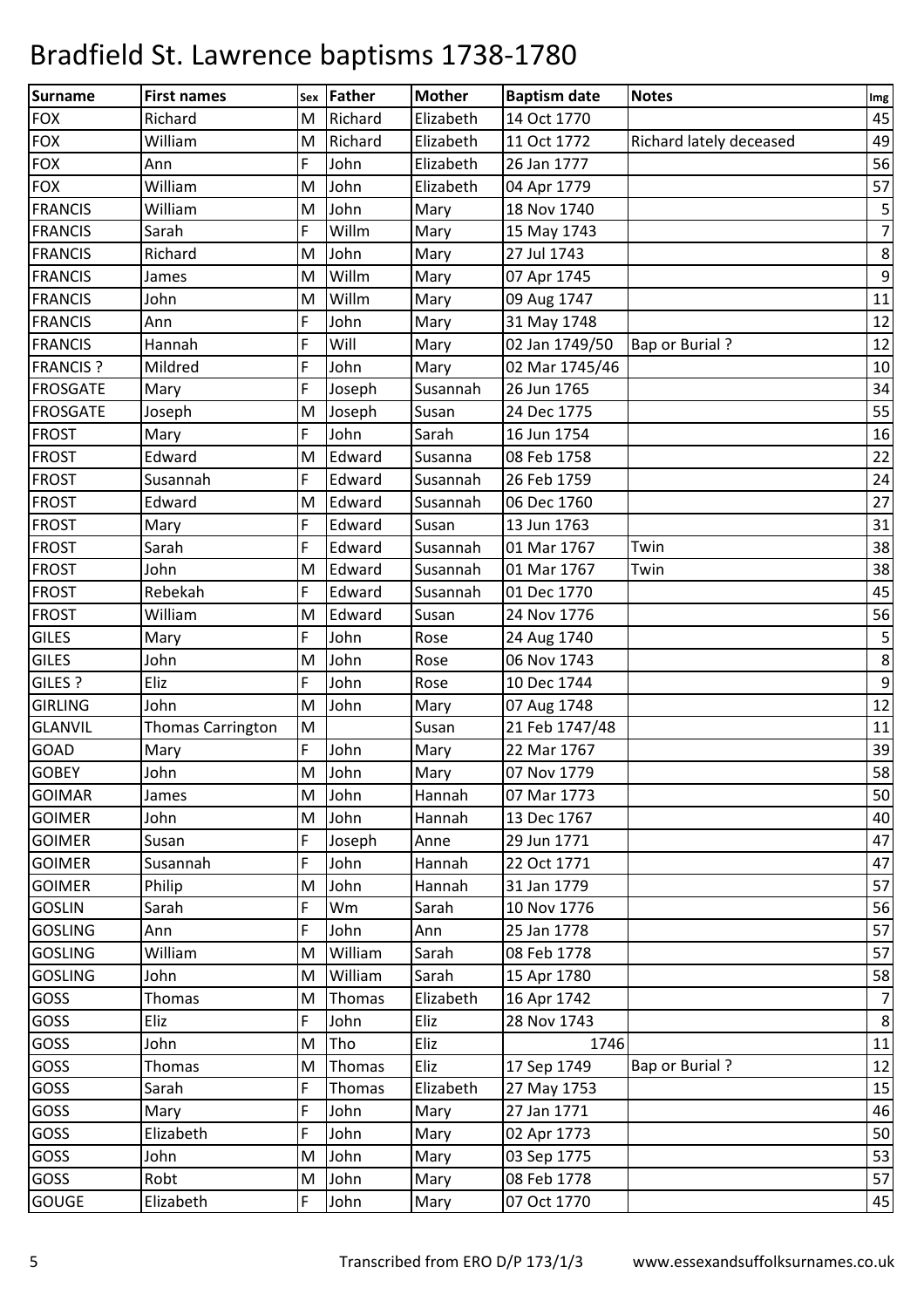| Surname         | <b>First names</b>       | Sex | Father  | <b>Mother</b> | <b>Baptism date</b> | <b>Notes</b>            | Img            |
|-----------------|--------------------------|-----|---------|---------------|---------------------|-------------------------|----------------|
| <b>FOX</b>      | Richard                  | M   | Richard | Elizabeth     | 14 Oct 1770         |                         | 45             |
| <b>FOX</b>      | William                  | M   | Richard | Elizabeth     | 11 Oct 1772         | Richard lately deceased | 49             |
| <b>FOX</b>      | Ann                      | F   | John    | Elizabeth     | 26 Jan 1777         |                         | 56             |
| <b>FOX</b>      | William                  | M   | John    | Elizabeth     | 04 Apr 1779         |                         | 57             |
| <b>FRANCIS</b>  | William                  | M   | John    | Mary          | 18 Nov 1740         |                         | 5              |
| <b>FRANCIS</b>  | Sarah                    | F   | Willm   | Mary          | 15 May 1743         |                         | $\overline{7}$ |
| <b>FRANCIS</b>  | Richard                  | M   | John    | Mary          | 27 Jul 1743         |                         | $\,8\,$        |
| <b>FRANCIS</b>  | James                    | M   | Willm   | Mary          | 07 Apr 1745         |                         | $9\,$          |
| <b>FRANCIS</b>  | John                     | M   | Willm   | Mary          | 09 Aug 1747         |                         | 11             |
| <b>FRANCIS</b>  | Ann                      | F   | John    | Mary          | 31 May 1748         |                         | 12             |
| <b>FRANCIS</b>  | Hannah                   | F   | Will    | Mary          | 02 Jan 1749/50      | <b>Bap or Burial?</b>   | 12             |
| <b>FRANCIS?</b> | Mildred                  | F   | John    | Mary          | 02 Mar 1745/46      |                         | 10             |
| <b>FROSGATE</b> | Mary                     | F   | Joseph  | Susannah      | 26 Jun 1765         |                         | 34             |
| <b>FROSGATE</b> | Joseph                   | M   | Joseph  | Susan         | 24 Dec 1775         |                         | 55             |
| <b>FROST</b>    | Mary                     | F   | John    | Sarah         | 16 Jun 1754         |                         | 16             |
| <b>FROST</b>    | Edward                   | M   | Edward  | Susanna       | 08 Feb 1758         |                         | 22             |
| <b>FROST</b>    | Susannah                 | F   | Edward  | Susannah      | 26 Feb 1759         |                         | 24             |
| <b>FROST</b>    | Edward                   | M   | Edward  | Susannah      | 06 Dec 1760         |                         | 27             |
| <b>FROST</b>    | Mary                     | F   | Edward  | Susan         | 13 Jun 1763         |                         | 31             |
| <b>FROST</b>    | Sarah                    | F   | Edward  | Susannah      | 01 Mar 1767         | Twin                    | 38             |
| <b>FROST</b>    | John                     | M   | Edward  | Susannah      | 01 Mar 1767         | Twin                    | 38             |
| <b>FROST</b>    | Rebekah                  | F   | Edward  | Susannah      | 01 Dec 1770         |                         | 45             |
| <b>FROST</b>    | William                  | M   | Edward  | Susan         | 24 Nov 1776         |                         | 56             |
| <b>GILES</b>    | Mary                     | F   | John    | Rose          | 24 Aug 1740         |                         | 5              |
| <b>GILES</b>    | John                     | M   | John    | Rose          | 06 Nov 1743         |                         | 8              |
| GILES ?         | Eliz                     | F   | John    | Rose          | 10 Dec 1744         |                         | $\overline{9}$ |
| <b>GIRLING</b>  | John                     | M   | John    | Mary          | 07 Aug 1748         |                         | 12             |
| <b>GLANVIL</b>  | <b>Thomas Carrington</b> | M   |         | Susan         | 21 Feb 1747/48      |                         | 11             |
| <b>GOAD</b>     | Mary                     | F   | John    | Mary          | 22 Mar 1767         |                         | 39             |
| <b>GOBEY</b>    | John                     | M   | John    | Mary          | 07 Nov 1779         |                         | 58             |
| <b>GOIMAR</b>   | James                    | M   | John    | Hannah        | 07 Mar 1773         |                         | 50             |
| <b>GOIMER</b>   | John                     | M   | John    | Hannah        | 13 Dec 1767         |                         | 40             |
| <b>GOIMER</b>   | Susan                    | F   | Joseph  | Anne          | 29 Jun 1771         |                         | 47             |
| <b>GOIMER</b>   | Susannah                 | F   | John    | Hannah        | 22 Oct 1771         |                         | 47             |
| <b>GOIMER</b>   | Philip                   | M   | John    | Hannah        | 31 Jan 1779         |                         | 57             |
| <b>GOSLIN</b>   | Sarah                    | F   | Wm      | Sarah         | 10 Nov 1776         |                         | 56             |
| <b>GOSLING</b>  | Ann                      | F   | John    | Ann           | 25 Jan 1778         |                         | 57             |
| <b>GOSLING</b>  | William                  | M   | William | Sarah         | 08 Feb 1778         |                         | 57             |
| <b>GOSLING</b>  | John                     | M   | William | Sarah         | 15 Apr 1780         |                         | 58             |
| GOSS            | Thomas                   | M   | Thomas  | Elizabeth     | 16 Apr 1742         |                         | $\overline{7}$ |
| GOSS            | Eliz                     | F   | John    | Eliz          | 28 Nov 1743         |                         | 8              |
| <b>GOSS</b>     | John                     | M   | Tho     | Eliz          | 1746                |                         | 11             |
| GOSS            | Thomas                   | M   | Thomas  | Eliz          | 17 Sep 1749         | <b>Bap or Burial?</b>   | 12             |
| GOSS            | Sarah                    | F.  | Thomas  | Elizabeth     | 27 May 1753         |                         | 15             |
| GOSS            | Mary                     | F   | John    | Mary          | 27 Jan 1771         |                         | 46             |
| GOSS            | Elizabeth                | F   | John    | Mary          | 02 Apr 1773         |                         | 50             |
| GOSS            | John                     | M   | John    | Mary          | 03 Sep 1775         |                         | 53             |
| <b>GOSS</b>     | Robt                     | M   | John    | Mary          | 08 Feb 1778         |                         | 57             |
| <b>GOUGE</b>    | Elizabeth                | F   | John    | Mary          | 07 Oct 1770         |                         | 45             |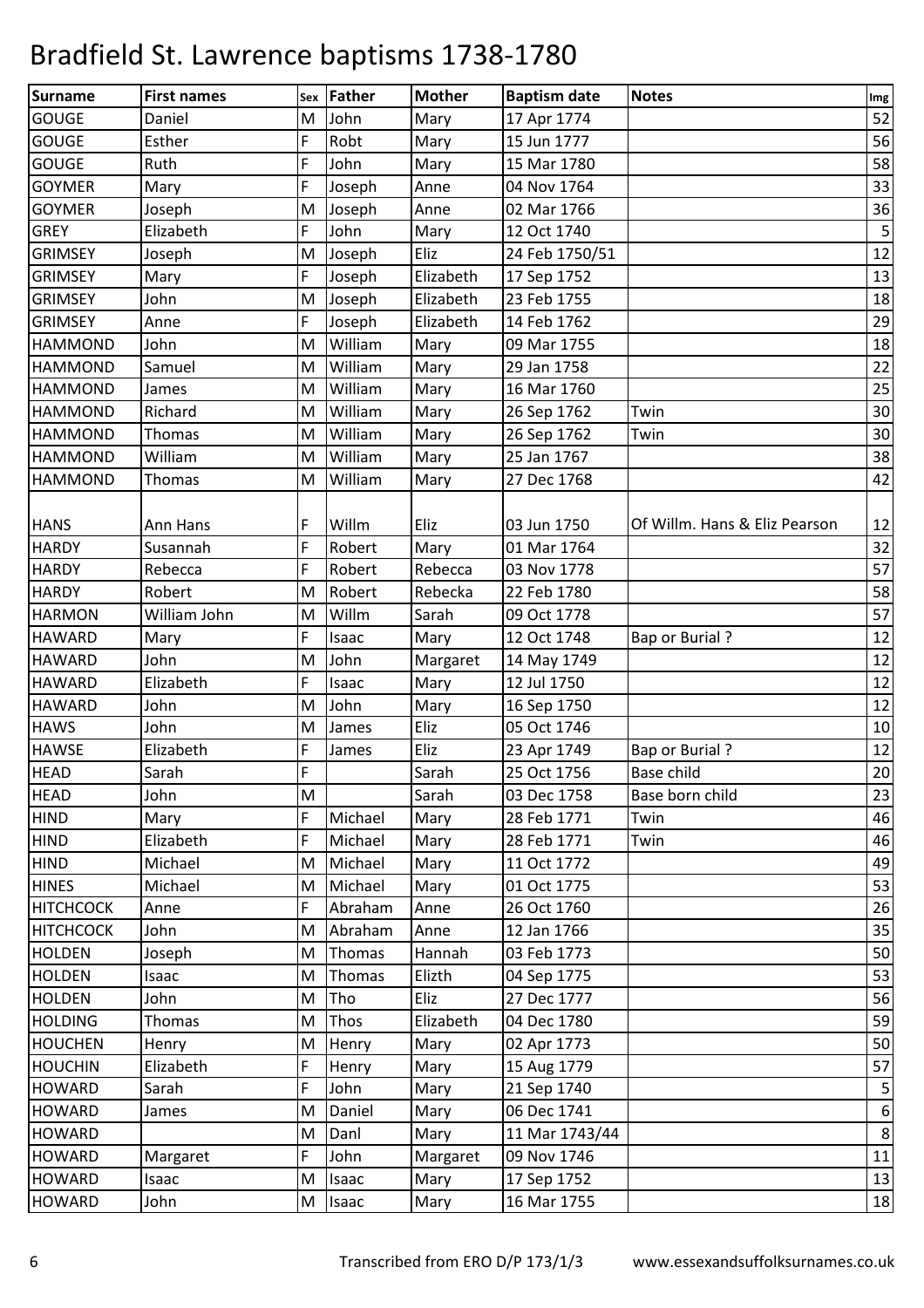| Surname          | <b>First names</b> | Sex | Father      | <b>Mother</b> | <b>Baptism date</b> | <b>Notes</b>                  | Im <sub>g</sub> |
|------------------|--------------------|-----|-------------|---------------|---------------------|-------------------------------|-----------------|
| <b>GOUGE</b>     | Daniel             | M   | John        | Mary          | 17 Apr 1774         |                               | 52              |
| <b>GOUGE</b>     | Esther             | F   | Robt        | Mary          | 15 Jun 1777         |                               | 56              |
| <b>GOUGE</b>     | Ruth               | F   | John        | Mary          | 15 Mar 1780         |                               | 58              |
| <b>GOYMER</b>    | Mary               | F   | Joseph      | Anne          | 04 Nov 1764         |                               | 33              |
| <b>GOYMER</b>    | Joseph             | M   | Joseph      | Anne          | 02 Mar 1766         |                               | 36              |
| <b>GREY</b>      | Elizabeth          | F   | John        | Mary          | 12 Oct 1740         |                               | $\mathsf S$     |
| <b>GRIMSEY</b>   | Joseph             | M   | Joseph      | Eliz          | 24 Feb 1750/51      |                               | 12              |
| <b>GRIMSEY</b>   | Mary               | F   | Joseph      | Elizabeth     | 17 Sep 1752         |                               | 13              |
| <b>GRIMSEY</b>   | John               | M   | Joseph      | Elizabeth     | 23 Feb 1755         |                               | 18              |
| <b>GRIMSEY</b>   | Anne               | F   | Joseph      | Elizabeth     | 14 Feb 1762         |                               | 29              |
| <b>HAMMOND</b>   | John               | M   | William     | Mary          | 09 Mar 1755         |                               | 18              |
| <b>HAMMOND</b>   | Samuel             | M   | William     | Mary          | 29 Jan 1758         |                               | 22              |
| <b>HAMMOND</b>   | James              | M   | William     | Mary          | 16 Mar 1760         |                               | 25              |
| <b>HAMMOND</b>   | Richard            | M   | William     | Mary          | 26 Sep 1762         | Twin                          | 30              |
| <b>HAMMOND</b>   | Thomas             | M   | William     | Mary          | 26 Sep 1762         | Twin                          | 30              |
| <b>HAMMOND</b>   | William            | M   | William     | Mary          | 25 Jan 1767         |                               | 38              |
| <b>HAMMOND</b>   | Thomas             | M   | William     | Mary          | 27 Dec 1768         |                               | 42              |
|                  |                    |     |             |               |                     |                               |                 |
| <b>HANS</b>      | Ann Hans           | F   | Willm       | Eliz          | 03 Jun 1750         | Of Willm. Hans & Eliz Pearson | 12              |
| <b>HARDY</b>     | Susannah           | F   | Robert      | Mary          | 01 Mar 1764         |                               | 32              |
| <b>HARDY</b>     | Rebecca            | F   | Robert      | Rebecca       | 03 Nov 1778         |                               | 57              |
| <b>HARDY</b>     | Robert             | M   | Robert      | Rebecka       | 22 Feb 1780         |                               | 58              |
| <b>HARMON</b>    | William John       | M   | Willm       | Sarah         | 09 Oct 1778         |                               | 57              |
| <b>HAWARD</b>    | Mary               | F   | Isaac       | Mary          | 12 Oct 1748         | <b>Bap or Burial?</b>         | 12              |
| <b>HAWARD</b>    | John               | M   | John        | Margaret      | 14 May 1749         |                               | 12              |
| <b>HAWARD</b>    | Elizabeth          | F   | Isaac       | Mary          | 12 Jul 1750         |                               | 12              |
| <b>HAWARD</b>    | John               | M   | John        | Mary          | 16 Sep 1750         |                               | 12              |
| <b>HAWS</b>      | John               | M   | James       | Eliz          | 05 Oct 1746         |                               | 10              |
| <b>HAWSE</b>     | Elizabeth          | F   | James       | Eliz          | 23 Apr 1749         | <b>Bap or Burial?</b>         | 12              |
| <b>HEAD</b>      | Sarah              | F   |             | Sarah         | 25 Oct 1756         | Base child                    | 20              |
| <b>HEAD</b>      | John               | M   |             | Sarah         | 03 Dec 1758         | Base born child               | 23              |
| <b>HIND</b>      | Mary               | F.  | Michael     | Mary          | 28 Feb 1771         | Twin                          | 46              |
| <b>HIND</b>      | Elizabeth          | F   | Michael     | Mary          | 28 Feb 1771         | Twin                          | 46              |
| <b>HIND</b>      | Michael            | M   | Michael     | Mary          | 11 Oct 1772         |                               | 49              |
| <b>HINES</b>     | Michael            | M   | Michael     | Mary          | 01 Oct 1775         |                               | 53              |
| <b>HITCHCOCK</b> | Anne               | F   | Abraham     | Anne          | 26 Oct 1760         |                               | 26              |
| <b>HITCHCOCK</b> | John               | M   | Abraham     | Anne          | 12 Jan 1766         |                               | 35              |
| <b>HOLDEN</b>    | Joseph             | М   | Thomas      | Hannah        | 03 Feb 1773         |                               | 50              |
| <b>HOLDEN</b>    | Isaac              | М   | Thomas      | Elizth        | 04 Sep 1775         |                               | 53              |
| <b>HOLDEN</b>    | John               | M   | Tho         | Eliz          | 27 Dec 1777         |                               | 56              |
| <b>HOLDING</b>   | <b>Thomas</b>      | M   | <b>Thos</b> | Elizabeth     | 04 Dec 1780         |                               | 59              |
| <b>HOUCHEN</b>   | Henry              | M   | Henry       | Mary          | 02 Apr 1773         |                               | 50              |
| <b>HOUCHIN</b>   | Elizabeth          | F   | Henry       | Mary          | 15 Aug 1779         |                               | 57              |
| <b>HOWARD</b>    | Sarah              | F   | John        | Mary          | 21 Sep 1740         |                               | 5               |
| <b>HOWARD</b>    | James              | M   | Daniel      | Mary          | 06 Dec 1741         |                               | $\sqrt{6}$      |
| <b>HOWARD</b>    |                    | M   | Danl        | Mary          | 11 Mar 1743/44      |                               | $\,8\,$         |
| <b>HOWARD</b>    | Margaret           | F   | John        | Margaret      | 09 Nov 1746         |                               | $11\,$          |
| <b>HOWARD</b>    | Isaac              | M   | Isaac       | Mary          | 17 Sep 1752         |                               | 13              |
| <b>HOWARD</b>    | John               | M   | Isaac       | Mary          | 16 Mar 1755         |                               | 18              |
|                  |                    |     |             |               |                     |                               |                 |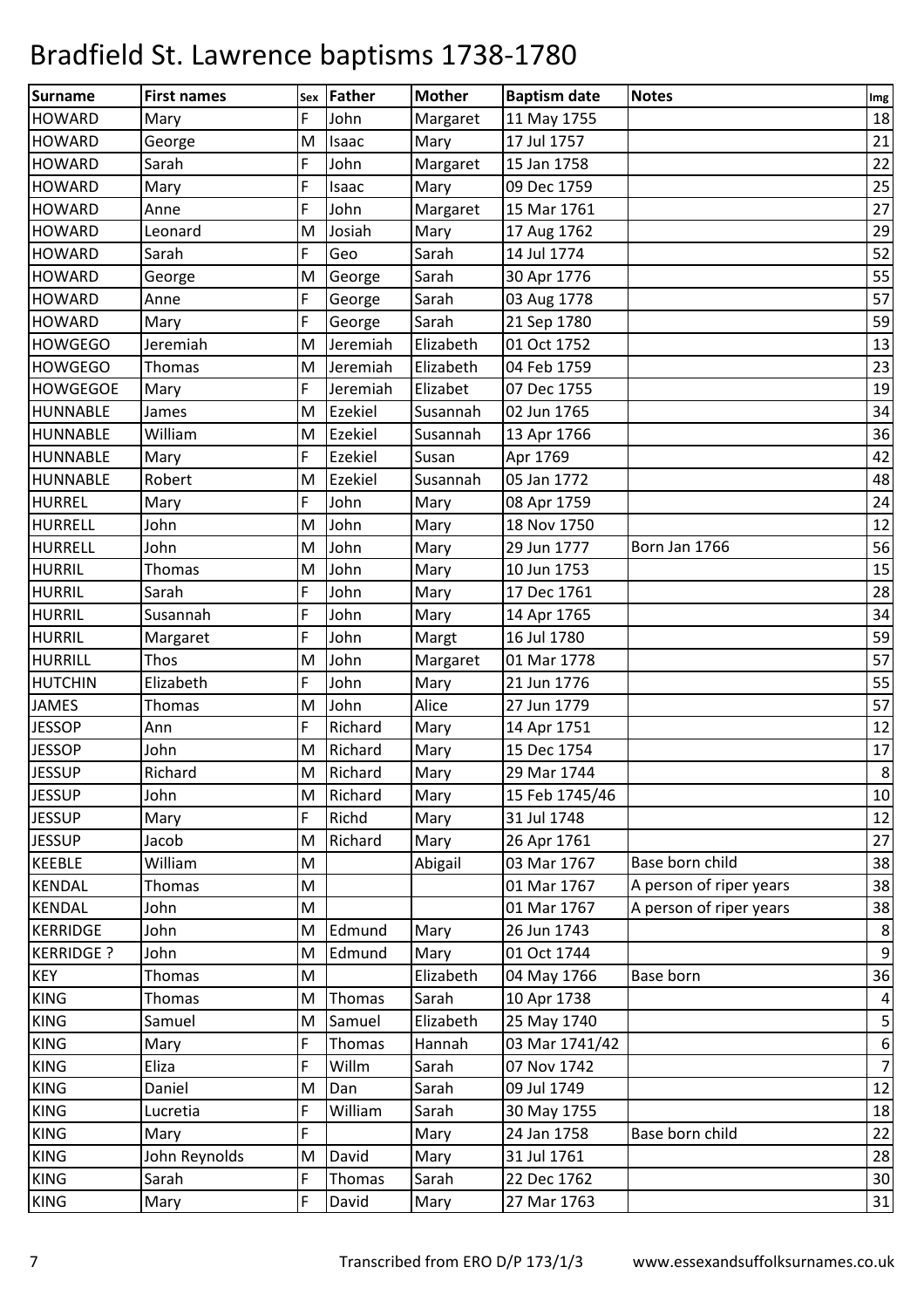| <b>Surname</b>    | <b>First names</b> | Sex | <b>Father</b>  | <b>Mother</b> | <b>Baptism date</b> | <b>Notes</b>            | Im <sub>g</sub>  |
|-------------------|--------------------|-----|----------------|---------------|---------------------|-------------------------|------------------|
| <b>HOWARD</b>     | Mary               | F   | John           | Margaret      | 11 May 1755         |                         | 18               |
| <b>HOWARD</b>     | George             | M   | Isaac          | Mary          | 17 Jul 1757         |                         | 21               |
| <b>HOWARD</b>     | Sarah              | F   | John           | Margaret      | 15 Jan 1758         |                         | 22               |
| <b>HOWARD</b>     | Mary               | F   | Isaac          | Mary          | 09 Dec 1759         |                         | 25               |
| <b>HOWARD</b>     | Anne               | F   | John           | Margaret      | 15 Mar 1761         |                         | 27               |
| <b>HOWARD</b>     | Leonard            | M   | Josiah         | Mary          | 17 Aug 1762         |                         | 29               |
| <b>HOWARD</b>     | Sarah              | F   | Geo            | Sarah         | 14 Jul 1774         |                         | 52               |
| <b>HOWARD</b>     | George             | M   | George         | Sarah         | 30 Apr 1776         |                         | 55               |
| <b>HOWARD</b>     | Anne               | F   | George         | Sarah         | 03 Aug 1778         |                         | 57               |
| <b>HOWARD</b>     | Mary               | F   | George         | Sarah         | 21 Sep 1780         |                         | 59               |
| <b>HOWGEGO</b>    | Jeremiah           | M   | Jeremiah       | Elizabeth     | 01 Oct 1752         |                         | 13               |
| <b>HOWGEGO</b>    | <b>Thomas</b>      | M   | Jeremiah       | Elizabeth     | 04 Feb 1759         |                         | 23               |
| <b>HOWGEGOE</b>   | Mary               | F   | Jeremiah       | Elizabet      | 07 Dec 1755         |                         | 19               |
| <b>HUNNABLE</b>   | James              | M   | <b>Ezekiel</b> | Susannah      | 02 Jun 1765         |                         | 34               |
| <b>HUNNABLE</b>   | William            | M   | Ezekiel        | Susannah      | 13 Apr 1766         |                         | 36               |
| <b>HUNNABLE</b>   | Mary               | F   | Ezekiel        | Susan         | Apr 1769            |                         | 42               |
| <b>HUNNABLE</b>   | Robert             | M   | Ezekiel        | Susannah      | 05 Jan 1772         |                         | 48               |
| <b>HURREL</b>     | Mary               | F   | John           | Mary          | 08 Apr 1759         |                         | 24               |
| HURRELL           | John               | M   | John           | Mary          | 18 Nov 1750         |                         | 12               |
| <b>HURRELL</b>    | John               | M   | John           | Mary          | 29 Jun 1777         | Born Jan 1766           | 56               |
| <b>HURRIL</b>     | Thomas             | M   | John           | Mary          | 10 Jun 1753         |                         | 15               |
| <b>HURRIL</b>     | Sarah              | F   | John           | Mary          | 17 Dec 1761         |                         | 28               |
| <b>HURRIL</b>     | Susannah           | F   | John           | Mary          | 14 Apr 1765         |                         | 34               |
| <b>HURRIL</b>     | Margaret           | F   | John           | Margt         | 16 Jul 1780         |                         | 59               |
| <b>HURRILL</b>    | Thos               | M   | John           | Margaret      | 01 Mar 1778         |                         | 57               |
| <b>HUTCHIN</b>    | Elizabeth          | F   | John           | Mary          | 21 Jun 1776         |                         | 55               |
| <b>JAMES</b>      | <b>Thomas</b>      | M   | John           | Alice         | 27 Jun 1779         |                         | 57               |
| <b>JESSOP</b>     | Ann                | F   | Richard        | Mary          | 14 Apr 1751         |                         | 12               |
| <b>JESSOP</b>     | John               | M   | Richard        | Mary          | 15 Dec 1754         |                         | $17\,$           |
| <b>JESSUP</b>     | Richard            | M   | Richard        | Mary          | 29 Mar 1744         |                         | 8                |
| <b>JESSUP</b>     | John               | M   | Richard        | Mary          | 15 Feb 1745/46      |                         | 10               |
| <b>JESSUP</b>     | Mary               | F   | Richd          | Mary          | 31 Jul 1748         |                         | 12               |
| <b>JESSUP</b>     | Jacob              | M   | Richard        | Mary          | 26 Apr 1761         |                         | 27               |
| <b>KEEBLE</b>     | William            | M   |                | Abigail       | 03 Mar 1767         | Base born child         | 38               |
| <b>KENDAL</b>     | Thomas             | M   |                |               | 01 Mar 1767         | A person of riper years | 38               |
| <b>KENDAL</b>     | John               | M   |                |               | 01 Mar 1767         | A person of riper years | 38               |
| KERRIDGE          | John               | M   | Edmund         | Mary          | 26 Jun 1743         |                         | $\bf 8$          |
| <b>KERRIDGE ?</b> | John               | M   | Edmund         | Mary          | 01 Oct 1744         |                         | $\overline{9}$   |
| <b>KEY</b>        | <b>Thomas</b>      | M   |                | Elizabeth     | 04 May 1766         | Base born               | 36               |
| <b>KING</b>       | Thomas             | M   | Thomas         | Sarah         | 10 Apr 1738         |                         | $\pmb{4}$        |
| <b>KING</b>       | Samuel             | M   | Samuel         | Elizabeth     | 25 May 1740         |                         | $\mathsf S$      |
| <b>KING</b>       | Mary               | F   | Thomas         | Hannah        | 03 Mar 1741/42      |                         | $\boldsymbol{6}$ |
| <b>KING</b>       | Eliza              | F   | Willm          | Sarah         | 07 Nov 1742         |                         | $\overline{7}$   |
| <b>KING</b>       | Daniel             | M   | Dan            | Sarah         | 09 Jul 1749         |                         | 12               |
| <b>KING</b>       | Lucretia           | F   | William        | Sarah         | 30 May 1755         |                         | 18               |
| <b>KING</b>       | Mary               | F   |                | Mary          | 24 Jan 1758         | Base born child         | 22               |
| <b>KING</b>       | John Reynolds      | M   | David          | Mary          | 31 Jul 1761         |                         | 28               |
| <b>KING</b>       | Sarah              | F   | Thomas         | Sarah         | 22 Dec 1762         |                         | 30               |
| <b>KING</b>       | Mary               | F   | David          | Mary          | 27 Mar 1763         |                         | $31\,$           |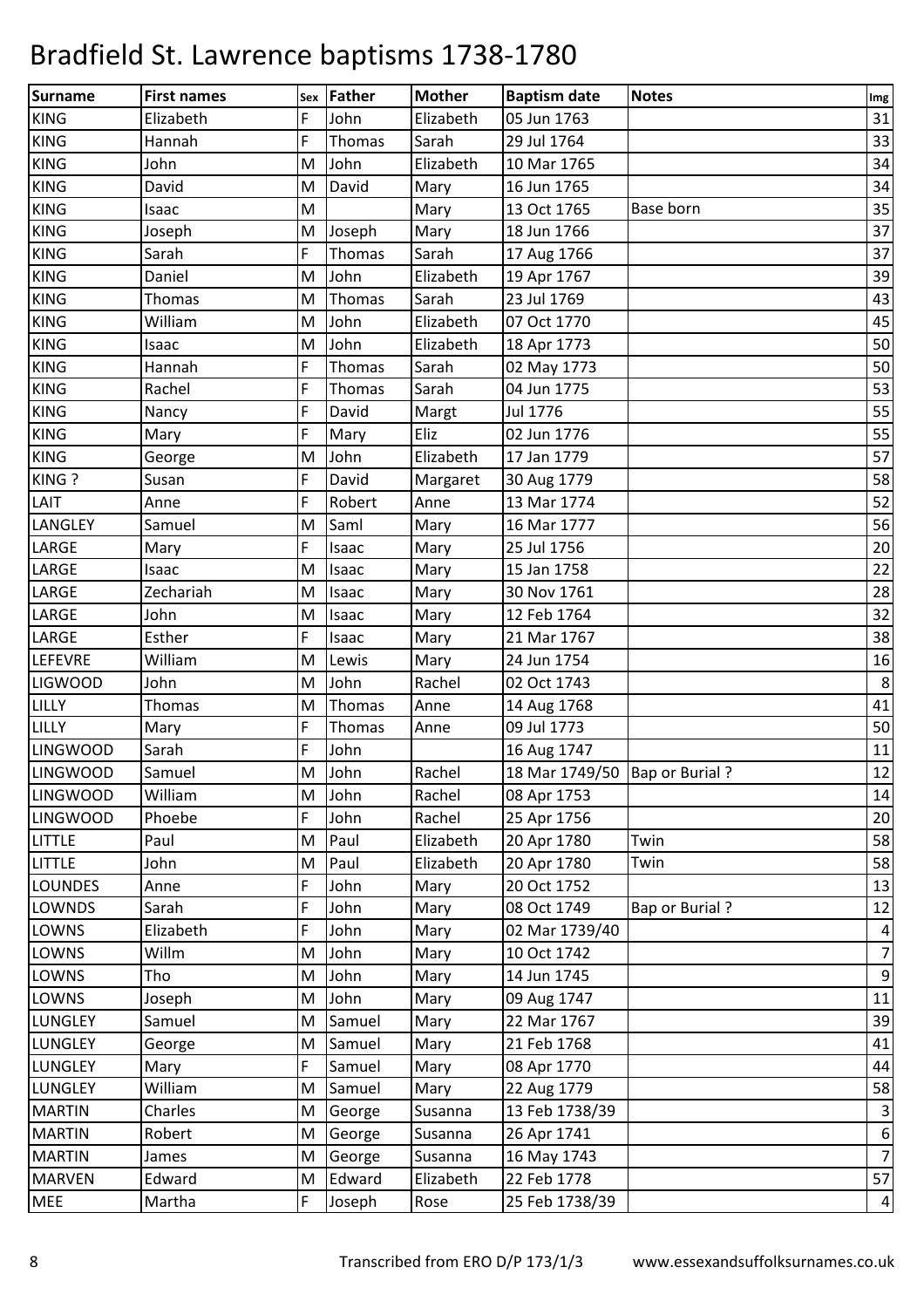| <b>Surname</b>  | <b>First names</b> | Sex | Father | <b>Mother</b> | <b>Baptism date</b>              | <b>Notes</b>          | <b>Img</b>       |
|-----------------|--------------------|-----|--------|---------------|----------------------------------|-----------------------|------------------|
| <b>KING</b>     | Elizabeth          | F   | John   | Elizabeth     | 05 Jun 1763                      |                       | 31               |
| <b>KING</b>     | Hannah             | F   | Thomas | Sarah         | 29 Jul 1764                      |                       | 33               |
| <b>KING</b>     | John               | M   | John   | Elizabeth     | 10 Mar 1765                      |                       | 34               |
| <b>KING</b>     | David              | M   | David  | Mary          | 16 Jun 1765                      |                       | 34               |
| <b>KING</b>     | Isaac              | M   |        | Mary          | 13 Oct 1765                      | Base born             | 35               |
| <b>KING</b>     | Joseph             | M   | Joseph | Mary          | 18 Jun 1766                      |                       | 37               |
| <b>KING</b>     | Sarah              | F.  | Thomas | Sarah         | 17 Aug 1766                      |                       | 37               |
| <b>KING</b>     | Daniel             | M   | John   | Elizabeth     | 19 Apr 1767                      |                       | 39               |
| <b>KING</b>     | <b>Thomas</b>      | M   | Thomas | Sarah         | 23 Jul 1769                      |                       | 43               |
| <b>KING</b>     | William            | M   | John   | Elizabeth     | 07 Oct 1770                      |                       | 45               |
| <b>KING</b>     | Isaac              | M   | John   | Elizabeth     | 18 Apr 1773                      |                       | 50               |
| <b>KING</b>     | Hannah             | F   | Thomas | Sarah         | 02 May 1773                      |                       | 50               |
| <b>KING</b>     | Rachel             | F   | Thomas | Sarah         | 04 Jun 1775                      |                       | 53               |
| <b>KING</b>     | Nancy              | F   | David  | Margt         | Jul 1776                         |                       | 55               |
| <b>KING</b>     | Mary               | F   | Mary   | Eliz          | 02 Jun 1776                      |                       | 55               |
| <b>KING</b>     | George             | M   | John   | Elizabeth     | 17 Jan 1779                      |                       | 57               |
| KING ?          | Susan              | F   | David  | Margaret      | 30 Aug 1779                      |                       | 58               |
| LAIT            | Anne               | F   | Robert | Anne          | 13 Mar 1774                      |                       | 52               |
| <b>LANGLEY</b>  | Samuel             | M   | Saml   | Mary          | 16 Mar 1777                      |                       | 56               |
| LARGE           | Mary               | F   | Isaac  | Mary          | 25 Jul 1756                      |                       | 20               |
| LARGE           | Isaac              | M   | Isaac  | Mary          | 15 Jan 1758                      |                       | 22               |
| LARGE           | Zechariah          | M   | Isaac  | Mary          | 30 Nov 1761                      |                       | 28               |
| LARGE           | John               | M   | Isaac  | Mary          | 12 Feb 1764                      |                       | 32               |
| LARGE           | Esther             | F   | Isaac  | Mary          | 21 Mar 1767                      |                       | 38               |
| <b>LEFEVRE</b>  | William            | M   | Lewis  | Mary          | 24 Jun 1754                      |                       | 16               |
| <b>LIGWOOD</b>  | John               | M   | John   | Rachel        | 02 Oct 1743                      |                       | $\bf 8$          |
| LILLY           | <b>Thomas</b>      | M   | Thomas | Anne          | 14 Aug 1768                      |                       | 41               |
| LILLY           | Mary               | F   | Thomas | Anne          | 09 Jul 1773                      |                       | 50               |
| <b>LINGWOOD</b> | Sarah              | F   | John   |               | 16 Aug 1747                      |                       | 11               |
| <b>LINGWOOD</b> | Samuel             | M   | John   | Rachel        | 18 Mar 1749/50   Bap or Burial ? |                       | 12               |
| <b>LINGWOOD</b> | William            | M   | John   | Rachel        | 08 Apr 1753                      |                       | 14               |
| <b>LINGWOOD</b> | Phoebe             | F.  | John   | Rachel        | 25 Apr 1756                      |                       | 20               |
| <b>LITTLE</b>   | Paul               | M   | Paul   | Elizabeth     | 20 Apr 1780                      | Twin                  | 58               |
| <b>LITTLE</b>   | John               | M   | Paul   | Elizabeth     | 20 Apr 1780                      | Twin                  | 58               |
| <b>LOUNDES</b>  | Anne               | F.  | John   | Mary          | 20 Oct 1752                      |                       | 13               |
| <b>LOWNDS</b>   | Sarah              | F   | John   | Mary          | 08 Oct 1749                      | <b>Bap or Burial?</b> | 12               |
| LOWNS           | Elizabeth          | F.  | John   | Mary          | 02 Mar 1739/40                   |                       | $\overline{4}$   |
| LOWNS           | Willm              | M   | John   | Mary          | 10 Oct 1742                      |                       | 7                |
| LOWNS           | Tho                | M   | John   | Mary          | 14 Jun 1745                      |                       | $\overline{9}$   |
| LOWNS           | Joseph             | M   | John   | Mary          | 09 Aug 1747                      |                       | 11               |
| <b>LUNGLEY</b>  | Samuel             | M   | Samuel | Mary          | 22 Mar 1767                      |                       | 39               |
| <b>LUNGLEY</b>  | George             | M   | Samuel | Mary          | 21 Feb 1768                      |                       | 41               |
| <b>LUNGLEY</b>  | Mary               | F   | Samuel | Mary          | 08 Apr 1770                      |                       | 44               |
| LUNGLEY         | William            | M   | Samuel | Mary          | 22 Aug 1779                      |                       | 58               |
| <b>MARTIN</b>   | Charles            | M   | George | Susanna       | 13 Feb 1738/39                   |                       | $\mathbf{3}$     |
| <b>MARTIN</b>   | Robert             | M   | George | Susanna       | 26 Apr 1741                      |                       | $\boldsymbol{6}$ |
| <b>MARTIN</b>   | James              | M   | George | Susanna       | 16 May 1743                      |                       | 7                |
| <b>MARVEN</b>   | Edward             | M   | Edward | Elizabeth     | 22 Feb 1778                      |                       | 57               |
| <b>MEE</b>      | Martha             | F.  | Joseph | Rose          | 25 Feb 1738/39                   |                       | $\vert 4 \vert$  |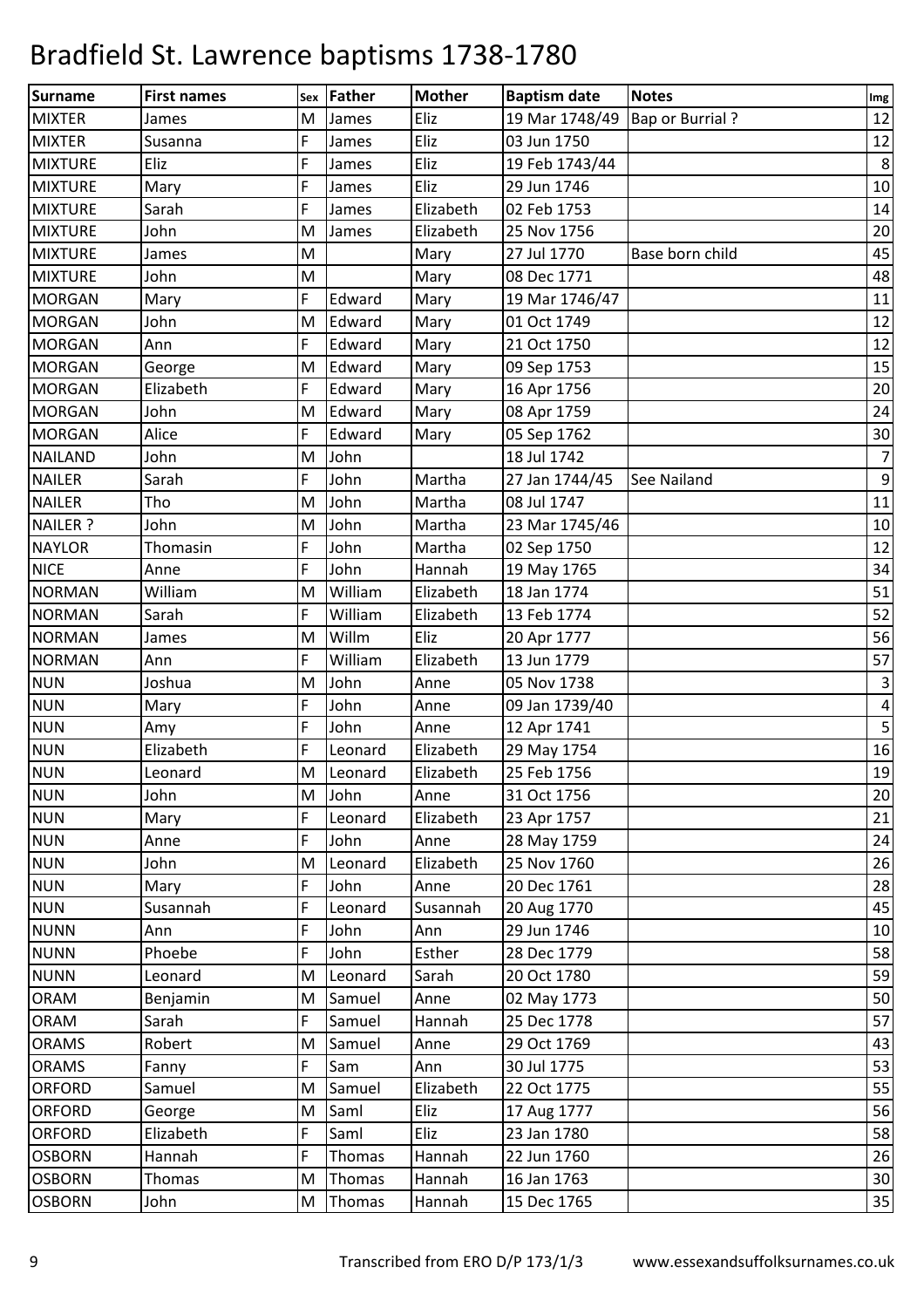| Surname        | <b>First names</b> | Sex | Father    | <b>Mother</b> | <b>Baptism date</b> | <b>Notes</b>           | Img            |
|----------------|--------------------|-----|-----------|---------------|---------------------|------------------------|----------------|
| <b>MIXTER</b>  | James              | M   | James     | Eliz          | 19 Mar 1748/49      | <b>Bap or Burrial?</b> | 12             |
| <b>MIXTER</b>  | Susanna            | F.  | James     | Eliz          | 03 Jun 1750         |                        | 12             |
| <b>MIXTURE</b> | Eliz               | F   | James     | Eliz          | 19 Feb 1743/44      |                        | 8              |
| <b>MIXTURE</b> | Mary               | F   | James     | Eliz          | 29 Jun 1746         |                        | 10             |
| <b>MIXTURE</b> | Sarah              | F   | James     | Elizabeth     | 02 Feb 1753         |                        | 14             |
| <b>MIXTURE</b> | John               | M   | James     | Elizabeth     | 25 Nov 1756         |                        | 20             |
| <b>MIXTURE</b> | James              | M   |           | Mary          | 27 Jul 1770         | Base born child        | 45             |
| <b>MIXTURE</b> | John               | M   |           | Mary          | 08 Dec 1771         |                        | 48             |
| <b>MORGAN</b>  | Mary               | F   | Edward    | Mary          | 19 Mar 1746/47      |                        | 11             |
| <b>MORGAN</b>  | John               | M   | Edward    | Mary          | 01 Oct 1749         |                        | 12             |
| <b>MORGAN</b>  | Ann                | F   | Edward    | Mary          | 21 Oct 1750         |                        | 12             |
| <b>MORGAN</b>  | George             | M   | Edward    | Mary          | 09 Sep 1753         |                        | 15             |
| <b>MORGAN</b>  | Elizabeth          | F   | Edward    | Mary          | 16 Apr 1756         |                        | 20             |
| <b>MORGAN</b>  | John               | M   | Edward    | Mary          | 08 Apr 1759         |                        | 24             |
| <b>MORGAN</b>  | Alice              | F   | Edward    | Mary          | 05 Sep 1762         |                        | 30             |
| <b>NAILAND</b> | John               | M   | John      |               | 18 Jul 1742         |                        | $\overline{7}$ |
| <b>NAILER</b>  | Sarah              | F   | John      | Martha        | 27 Jan 1744/45      | See Nailand            | $9\,$          |
| <b>NAILER</b>  | Tho                | M   | John      | Martha        | 08 Jul 1747         |                        | 11             |
| NAILER ?       | John               | M   | John      | Martha        | 23 Mar 1745/46      |                        | 10             |
| <b>NAYLOR</b>  | Thomasin           | F   | John      | Martha        | 02 Sep 1750         |                        | 12             |
| <b>NICE</b>    | Anne               | F   | John      | Hannah        | 19 May 1765         |                        | 34             |
| <b>NORMAN</b>  | William            | M   | William   | Elizabeth     | 18 Jan 1774         |                        | 51             |
| <b>NORMAN</b>  | Sarah              | F   | William   | Elizabeth     | 13 Feb 1774         |                        | 52             |
| <b>NORMAN</b>  | James              | M   | Willm     | Eliz          | 20 Apr 1777         |                        | 56             |
| <b>NORMAN</b>  | Ann                | F   | William   | Elizabeth     | 13 Jun 1779         |                        | 57             |
| <b>NUN</b>     | Joshua             | M   | John      | Anne          | 05 Nov 1738         |                        | $\mathbf{3}$   |
| <b>NUN</b>     | Mary               | F   | John      | Anne          | 09 Jan 1739/40      |                        | $\overline{4}$ |
| <b>NUN</b>     | Amy                | F   | John      | Anne          | 12 Apr 1741         |                        | 5              |
| <b>NUN</b>     | Elizabeth          | F   | Leonard   | Elizabeth     | 29 May 1754         |                        | 16             |
| <b>NUN</b>     | Leonard            |     | M Leonard | Elizabeth     | 25 Feb 1756         |                        | 19             |
| <b>NUN</b>     | John               | M   | John      | Anne          | 31 Oct 1756         |                        | 20             |
| <b>NUN</b>     | Mary               | F   | Leonard   | Elizabeth     | 23 Apr 1757         |                        | 21             |
| <b>NUN</b>     | Anne               | F   | John      | Anne          | 28 May 1759         |                        | 24             |
| <b>NUN</b>     | John               | M   | Leonard   | Elizabeth     | 25 Nov 1760         |                        | 26             |
| <b>NUN</b>     | Mary               | F   | John      | Anne          | 20 Dec 1761         |                        | 28             |
| <b>NUN</b>     | Susannah           | F   | Leonard   | Susannah      | 20 Aug 1770         |                        | 45             |
| <b>NUNN</b>    | Ann                | F   | John      | Ann           | 29 Jun 1746         |                        | 10             |
| <b>NUNN</b>    | Phoebe             | F   | John      | Esther        | 28 Dec 1779         |                        | 58             |
| <b>NUNN</b>    | Leonard            | M   | Leonard   | Sarah         | 20 Oct 1780         |                        | 59             |
| <b>ORAM</b>    | Benjamin           | M   | Samuel    | Anne          | 02 May 1773         |                        | 50             |
| <b>ORAM</b>    | Sarah              | F   | Samuel    | Hannah        | 25 Dec 1778         |                        | 57             |
| <b>ORAMS</b>   | Robert             | M   | Samuel    | Anne          | 29 Oct 1769         |                        | 43             |
| <b>ORAMS</b>   | Fanny              | F   | Sam       | Ann           | 30 Jul 1775         |                        | 53             |
| <b>ORFORD</b>  | Samuel             | M   | Samuel    | Elizabeth     | 22 Oct 1775         |                        | 55             |
| <b>ORFORD</b>  | George             | M   | Saml      | Eliz          | 17 Aug 1777         |                        | 56             |
| <b>ORFORD</b>  | Elizabeth          | F   | Saml      | Eliz          | 23 Jan 1780         |                        | 58             |
| <b>OSBORN</b>  | Hannah             | F   | Thomas    | Hannah        | 22 Jun 1760         |                        | 26             |
| <b>OSBORN</b>  | <b>Thomas</b>      | M   | Thomas    | Hannah        | 16 Jan 1763         |                        | 30             |
| <b>OSBORN</b>  | John               | M   | Thomas    | Hannah        | 15 Dec 1765         |                        | 35             |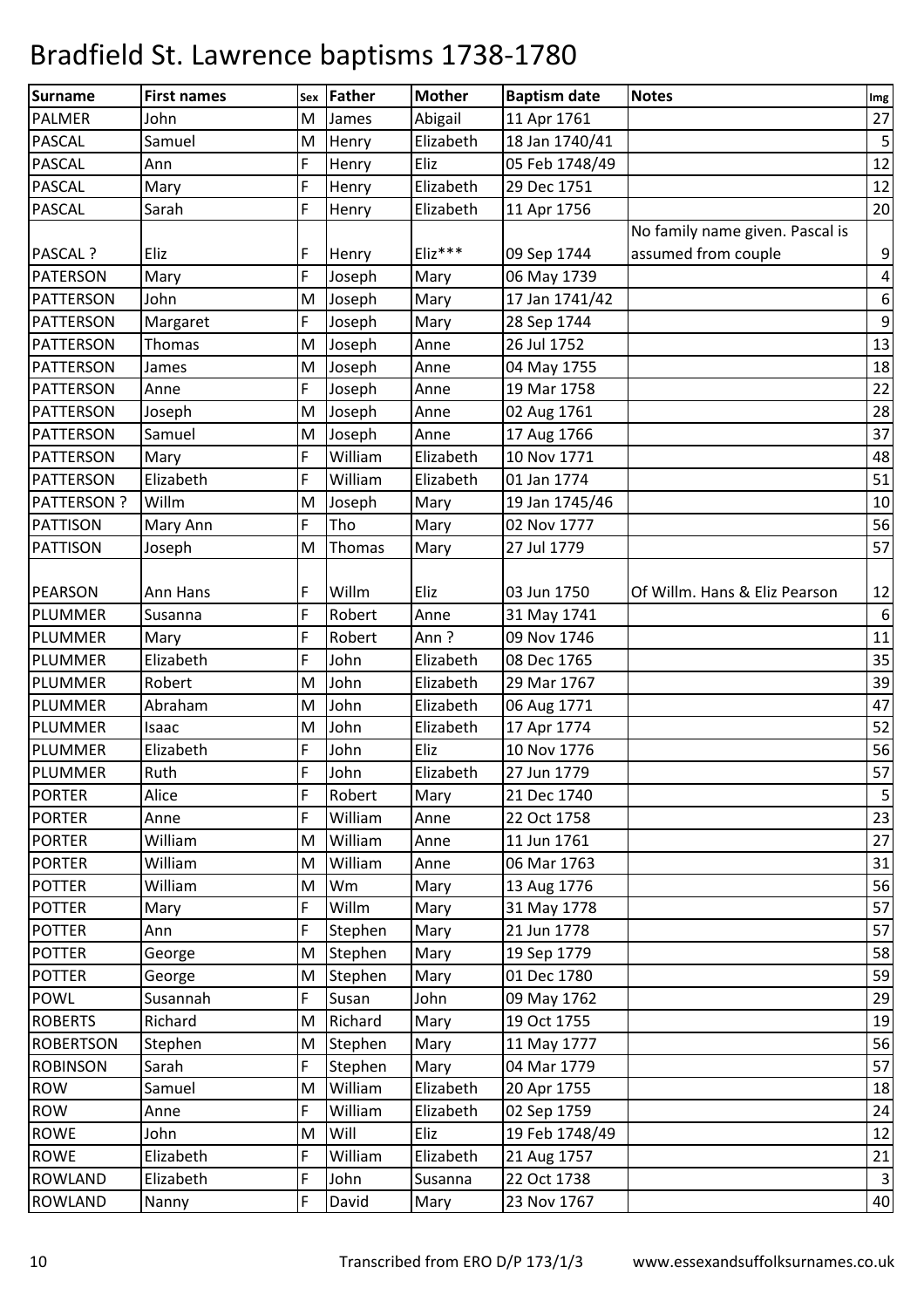| Surname           | <b>First names</b> |          | <b>Father</b> | <b>Mother</b> | <b>Baptism date</b> | <b>Notes</b>                    |                  |
|-------------------|--------------------|----------|---------------|---------------|---------------------|---------------------------------|------------------|
| <b>PALMER</b>     | John               | Sex<br>M | James         | Abigail       | 11 Apr 1761         |                                 | Img<br>27        |
| <b>PASCAL</b>     | Samuel             | M        | Henry         | Elizabeth     | 18 Jan 1740/41      |                                 | $\sqrt{5}$       |
| <b>PASCAL</b>     | Ann                | F        | Henry         | Eliz          | 05 Feb 1748/49      |                                 | 12               |
| <b>PASCAL</b>     | Mary               | F        | Henry         | Elizabeth     | 29 Dec 1751         |                                 | 12               |
| <b>PASCAL</b>     | Sarah              | F        | Henry         | Elizabeth     | 11 Apr 1756         |                                 | 20               |
|                   |                    |          |               |               |                     | No family name given. Pascal is |                  |
| PASCAL ?          | Eliz               | F        | Henry         | $E$ liz***    | 09 Sep 1744         | assumed from couple             | 9                |
| <b>PATERSON</b>   | Mary               | F        | Joseph        | Mary          | 06 May 1739         |                                 | $\pmb{4}$        |
| <b>PATTERSON</b>  | John               | M        | Joseph        | Mary          | 17 Jan 1741/42      |                                 | $\boldsymbol{6}$ |
| <b>PATTERSON</b>  | Margaret           | F        | Joseph        | Mary          | 28 Sep 1744         |                                 | $\boldsymbol{9}$ |
| <b>PATTERSON</b>  | Thomas             | M        | Joseph        | Anne          | 26 Jul 1752         |                                 | 13               |
| <b>PATTERSON</b>  | James              | M        | Joseph        | Anne          | 04 May 1755         |                                 | 18               |
| <b>PATTERSON</b>  | Anne               | F.       | Joseph        | Anne          | 19 Mar 1758         |                                 | 22               |
| <b>PATTERSON</b>  | Joseph             | M        | Joseph        | Anne          | 02 Aug 1761         |                                 | 28               |
| <b>PATTERSON</b>  | Samuel             | M        | Joseph        | Anne          | 17 Aug 1766         |                                 | 37               |
| <b>PATTERSON</b>  | Mary               | F        | William       | Elizabeth     | 10 Nov 1771         |                                 | 48               |
| <b>PATTERSON</b>  | Elizabeth          | F        | William       | Elizabeth     | 01 Jan 1774         |                                 | 51               |
| <b>PATTERSON?</b> | Willm              | M        | Joseph        | Mary          | 19 Jan 1745/46      |                                 | 10               |
| <b>PATTISON</b>   | Mary Ann           | F        | Tho           | Mary          | 02 Nov 1777         |                                 | 56               |
| <b>PATTISON</b>   |                    | M        | Thomas        | Mary          | 27 Jul 1779         |                                 | 57               |
|                   | Joseph             |          |               |               |                     |                                 |                  |
| PEARSON           | Ann Hans           | F        | Willm         | Eliz          | 03 Jun 1750         | Of Willm. Hans & Eliz Pearson   | 12               |
| <b>PLUMMER</b>    | Susanna            | F        | Robert        | Anne          | 31 May 1741         |                                 | $\boldsymbol{6}$ |
| <b>PLUMMER</b>    | Mary               | F        | Robert        | Ann?          | 09 Nov 1746         |                                 | 11               |
| <b>PLUMMER</b>    | Elizabeth          | F        | John          | Elizabeth     | 08 Dec 1765         |                                 | 35               |
| PLUMMER           | Robert             | M        | John          | Elizabeth     | 29 Mar 1767         |                                 | 39               |
| <b>PLUMMER</b>    | Abraham            | M        | John          | Elizabeth     | 06 Aug 1771         |                                 | 47               |
| PLUMMER           | Isaac              | M        | John          | Elizabeth     | 17 Apr 1774         |                                 | 52               |
| <b>PLUMMER</b>    | Elizabeth          | F        | John          | Eliz          | 10 Nov 1776         |                                 | 56               |
| PLUMMER           | <b>Ruth</b>        | F        | John          | Elizabeth     | 27 Jun 1779         |                                 | 57               |
| <b>PORTER</b>     | Alice              | F        | Robert        | Mary          | 21 Dec 1740         |                                 | 5                |
| <b>PORTER</b>     | Anne               | F        | William       | Anne          | 22 Oct 1758         |                                 | 23               |
| <b>PORTER</b>     | William            | M        | William       | Anne          | 11 Jun 1761         |                                 | 27               |
| <b>PORTER</b>     | William            | M        | William       | Anne          | 06 Mar 1763         |                                 | 31               |
| <b>POTTER</b>     | William            | M        | Wm            | Mary          | 13 Aug 1776         |                                 | 56               |
| <b>POTTER</b>     | Mary               | F        | Willm         | Mary          | 31 May 1778         |                                 | 57               |
| <b>POTTER</b>     | Ann                | F        | Stephen       | Mary          | 21 Jun 1778         |                                 | 57               |
| <b>POTTER</b>     | George             | M        | Stephen       | Mary          | 19 Sep 1779         |                                 | 58               |
| <b>POTTER</b>     | George             | M        | Stephen       | Mary          | 01 Dec 1780         |                                 | 59               |
| <b>POWL</b>       | Susannah           | F        | Susan         | John          | 09 May 1762         |                                 | 29               |
| <b>ROBERTS</b>    | Richard            | M        | Richard       | Mary          | 19 Oct 1755         |                                 | 19               |
| <b>ROBERTSON</b>  | Stephen            | M        | Stephen       | Mary          | 11 May 1777         |                                 | 56               |
| <b>ROBINSON</b>   | Sarah              | F        | Stephen       | Mary          | 04 Mar 1779         |                                 | 57               |
| <b>ROW</b>        | Samuel             | M        | William       | Elizabeth     | 20 Apr 1755         |                                 | 18               |
| ROW               | Anne               | F        | William       | Elizabeth     | 02 Sep 1759         |                                 | 24               |
| <b>ROWE</b>       | John               | M        | Will          | Eliz          | 19 Feb 1748/49      |                                 | 12               |
| <b>ROWE</b>       | Elizabeth          | F        | William       | Elizabeth     | 21 Aug 1757         |                                 | 21               |
| <b>ROWLAND</b>    | Elizabeth          | F        | John          | Susanna       | 22 Oct 1738         |                                 | $\overline{3}$   |
| <b>ROWLAND</b>    | Nanny              | F        | David         | Mary          | 23 Nov 1767         |                                 | $40\,$           |
|                   |                    |          |               |               |                     |                                 |                  |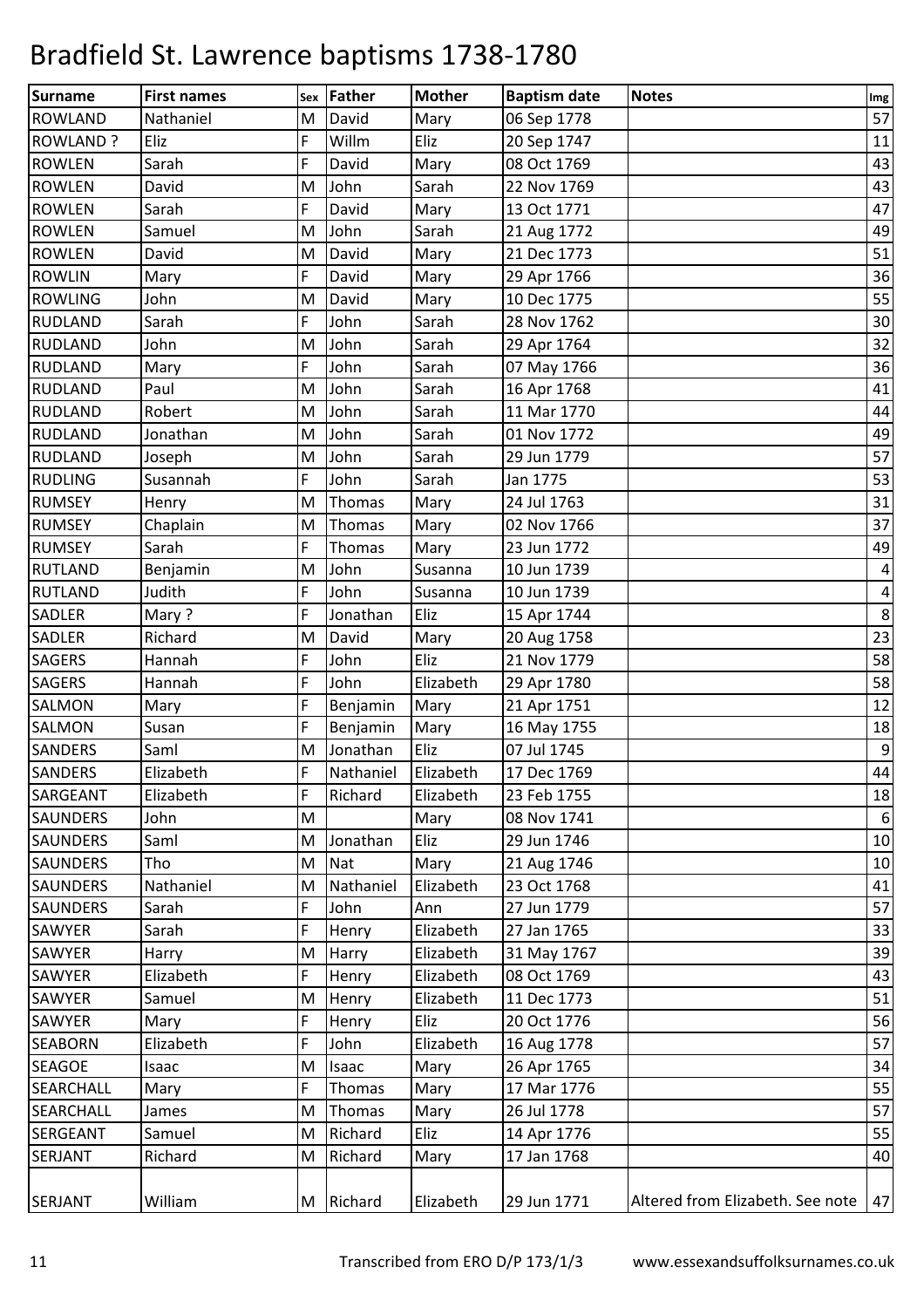| <b>Surname</b>   | <b>First names</b> |          | <b>Father</b> | <b>Mother</b> | <b>Baptism date</b> | <b>Notes</b>                     |                  |
|------------------|--------------------|----------|---------------|---------------|---------------------|----------------------------------|------------------|
| <b>ROWLAND</b>   | Nathaniel          | Sex<br>M | David         | Mary          | 06 Sep 1778         |                                  | Img<br>57        |
| <b>ROWLAND?</b>  | Eliz               | F        | Willm         | Eliz          | 20 Sep 1747         |                                  | 11               |
| <b>ROWLEN</b>    | Sarah              | F        | David         | Mary          | 08 Oct 1769         |                                  | 43               |
| <b>ROWLEN</b>    | David              | M        | John          | Sarah         | 22 Nov 1769         |                                  | 43               |
| <b>ROWLEN</b>    | Sarah              | F        | David         | Mary          | 13 Oct 1771         |                                  | 47               |
| <b>ROWLEN</b>    | Samuel             | M        | John          | Sarah         | 21 Aug 1772         |                                  | 49               |
| <b>ROWLEN</b>    | David              | M        | David         | Mary          | 21 Dec 1773         |                                  | 51               |
| <b>ROWLIN</b>    | Mary               | F        | David         | Mary          | 29 Apr 1766         |                                  | 36               |
| <b>ROWLING</b>   | John               | M        | David         | Mary          | 10 Dec 1775         |                                  | 55               |
| <b>RUDLAND</b>   | Sarah              | F        | John          | Sarah         | 28 Nov 1762         |                                  | 30               |
| <b>RUDLAND</b>   | John               | M        | John          | Sarah         | 29 Apr 1764         |                                  | 32               |
| <b>RUDLAND</b>   | Mary               | F        | John          | Sarah         | 07 May 1766         |                                  | 36               |
| <b>RUDLAND</b>   | Paul               | M        | John          | Sarah         | 16 Apr 1768         |                                  | 41               |
| <b>RUDLAND</b>   | Robert             | M        | John          | Sarah         | 11 Mar 1770         |                                  | 44               |
| <b>RUDLAND</b>   | Jonathan           | M        | John          | Sarah         | 01 Nov 1772         |                                  | 49               |
| <b>RUDLAND</b>   | Joseph             | M        | John          | Sarah         | 29 Jun 1779         |                                  | 57               |
| <b>RUDLING</b>   | Susannah           | F        | John          | Sarah         | Jan 1775            |                                  | 53               |
| <b>RUMSEY</b>    | Henry              | M        | Thomas        | Mary          | 24 Jul 1763         |                                  | 31               |
| <b>RUMSEY</b>    | Chaplain           | M        | Thomas        | Mary          | 02 Nov 1766         |                                  | 37               |
| <b>RUMSEY</b>    | Sarah              | F        | Thomas        | Mary          | 23 Jun 1772         |                                  | 49               |
| <b>RUTLAND</b>   | Benjamin           | M        | John          | Susanna       | 10 Jun 1739         |                                  | $\pmb{4}$        |
| <b>RUTLAND</b>   | Judith             | F        | John          | Susanna       | 10 Jun 1739         |                                  | $\pmb{4}$        |
| <b>SADLER</b>    | Mary?              | F        | Jonathan      | Eliz          | 15 Apr 1744         |                                  | $\,8\,$          |
| <b>SADLER</b>    | Richard            | M        | David         | Mary          | 20 Aug 1758         |                                  | 23               |
| <b>SAGERS</b>    | Hannah             | F        | John          | Eliz          | 21 Nov 1779         |                                  | 58               |
| <b>SAGERS</b>    | Hannah             | F        | John          | Elizabeth     | 29 Apr 1780         |                                  | 58               |
| SALMON           | Mary               | F        | Benjamin      | Mary          | 21 Apr 1751         |                                  | 12               |
| <b>SALMON</b>    | Susan              | F        | Benjamin      | Mary          | 16 May 1755         |                                  | 18               |
| <b>SANDERS</b>   | Saml               | M        | Jonathan      | Eliz          | 07 Jul 1745         |                                  | $\boldsymbol{9}$ |
| <b>SANDERS</b>   | Elizabeth          | F        | Nathaniel     | Elizabeth     | 17 Dec 1769         |                                  | 44               |
| SARGEANT         | Elizabeth          | F        | Richard       | Elizabeth     | 23 Feb 1755         |                                  | 18               |
| <b>SAUNDERS</b>  | John               | M        |               | Mary          | 08 Nov 1741         |                                  | $6\phantom{1}6$  |
| <b>SAUNDERS</b>  | Saml               | M        | Jonathan      | Eliz          | 29 Jun 1746         |                                  | 10               |
| <b>SAUNDERS</b>  | Tho                | M        | <b>Nat</b>    | Mary          | 21 Aug 1746         |                                  | 10               |
| <b>SAUNDERS</b>  | Nathaniel          | M        | Nathaniel     | Elizabeth     | 23 Oct 1768         |                                  | 41               |
| <b>SAUNDERS</b>  | Sarah              | F        | John          | Ann           | 27 Jun 1779         |                                  | 57               |
| SAWYER           | Sarah              | F        | Henry         | Elizabeth     | 27 Jan 1765         |                                  | 33               |
| SAWYER           | Harry              | M        | Harry         | Elizabeth     | 31 May 1767         |                                  | 39               |
| SAWYER           | Elizabeth          | F        | Henry         | Elizabeth     | 08 Oct 1769         |                                  | 43               |
| SAWYER           | Samuel             | M        | Henry         | Elizabeth     | 11 Dec 1773         |                                  | 51               |
| SAWYER           | Mary               | F        | Henry         | Eliz          | 20 Oct 1776         |                                  | 56               |
| <b>SEABORN</b>   | Elizabeth          | F        | John          | Elizabeth     | 16 Aug 1778         |                                  | 57               |
| <b>SEAGOE</b>    | Isaac              | M        | Isaac         | Mary          | 26 Apr 1765         |                                  | 34               |
| <b>SEARCHALL</b> | Mary               | F        | Thomas        | Mary          | 17 Mar 1776         |                                  | 55               |
| <b>SEARCHALL</b> | James              | M        | Thomas        | Mary          | 26 Jul 1778         |                                  | 57               |
| <b>SERGEANT</b>  | Samuel             | M        | Richard       | Eliz          | 14 Apr 1776         |                                  | 55               |
| <b>SERJANT</b>   | Richard            | M        | Richard       | Mary          | 17 Jan 1768         |                                  | 40               |
|                  |                    |          |               |               |                     |                                  |                  |
| <b>SERJANT</b>   | William            | M        | Richard       | Elizabeth     | 29 Jun 1771         | Altered from Elizabeth. See note | $\boxed{47}$     |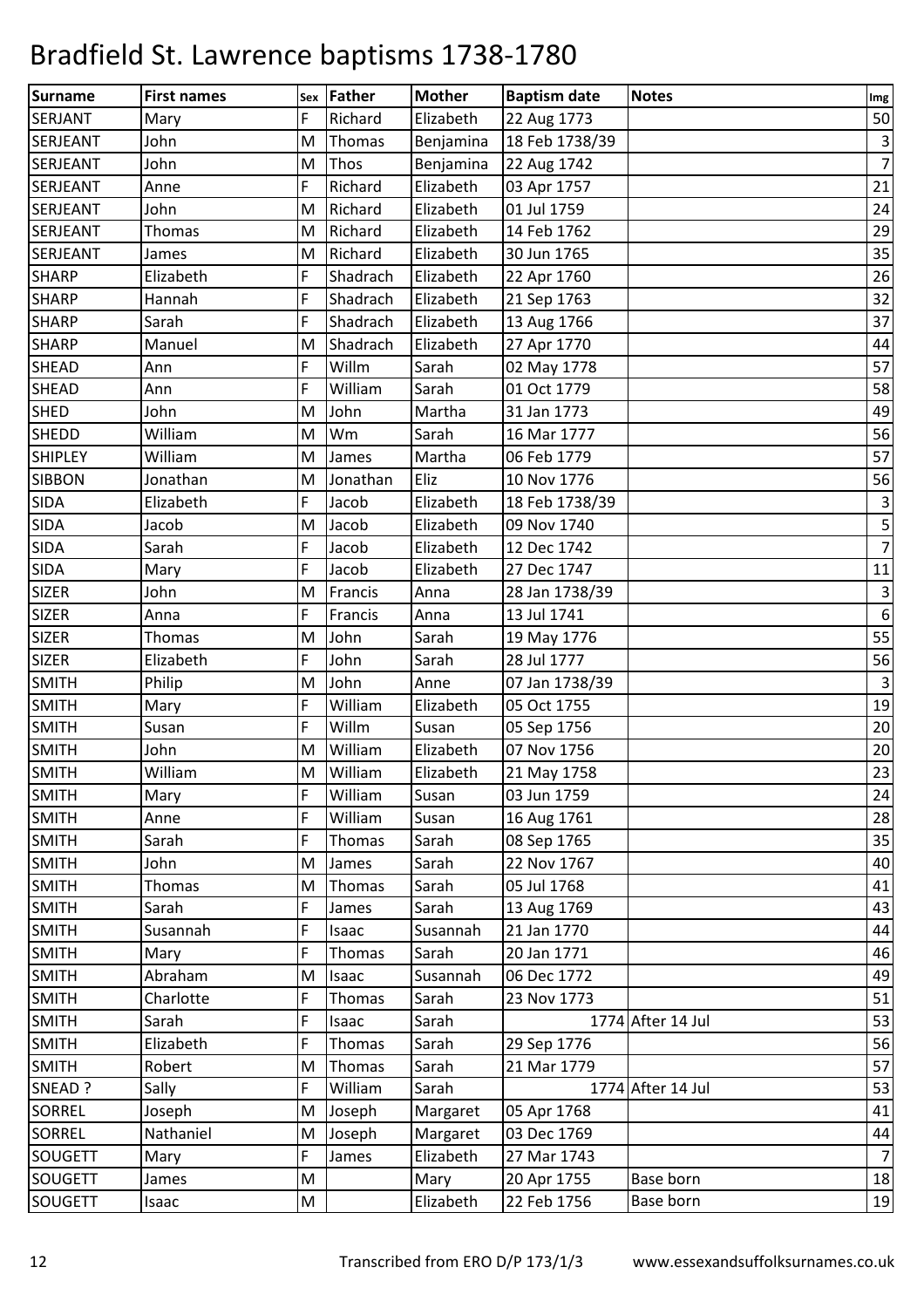| <b>Surname</b>  | <b>First names</b> |          | Father      | <b>Mother</b> | <b>Baptism date</b> | <b>Notes</b>      |                       |
|-----------------|--------------------|----------|-------------|---------------|---------------------|-------------------|-----------------------|
| <b>SERJANT</b>  | Mary               | Sex<br>F | Richard     | Elizabeth     | 22 Aug 1773         |                   | Im <sub>g</sub><br>50 |
| <b>SERJEANT</b> | John               | M        | Thomas      | Benjamina     | 18 Feb 1738/39      |                   | $\mathbf{3}$          |
| <b>SERJEANT</b> | John               | M        | <b>Thos</b> | Benjamina     | 22 Aug 1742         |                   | $\overline{7}$        |
| <b>SERJEANT</b> | Anne               | F        | Richard     | Elizabeth     | 03 Apr 1757         |                   | 21                    |
| <b>SERJEANT</b> | John               | M        | Richard     | Elizabeth     | 01 Jul 1759         |                   | 24                    |
| <b>SERJEANT</b> | <b>Thomas</b>      | M        | Richard     | Elizabeth     | 14 Feb 1762         |                   | 29                    |
| <b>SERJEANT</b> | James              | M        | Richard     | Elizabeth     | 30 Jun 1765         |                   | 35                    |
| <b>SHARP</b>    | Elizabeth          | F        | Shadrach    | Elizabeth     | 22 Apr 1760         |                   | 26                    |
| <b>SHARP</b>    | Hannah             | F        | Shadrach    | Elizabeth     | 21 Sep 1763         |                   | 32                    |
| <b>SHARP</b>    | Sarah              | F        | Shadrach    | Elizabeth     | 13 Aug 1766         |                   | 37                    |
| <b>SHARP</b>    | Manuel             | M        | Shadrach    | Elizabeth     | 27 Apr 1770         |                   | 44                    |
| <b>SHEAD</b>    | Ann                | F        | Willm       | Sarah         | 02 May 1778         |                   | 57                    |
| <b>SHEAD</b>    | Ann                | F        | William     | Sarah         | 01 Oct 1779         |                   | 58                    |
| <b>SHED</b>     | John               | M        | John        | Martha        | 31 Jan 1773         |                   | 49                    |
| <b>SHEDD</b>    | William            | M        | Wm          | Sarah         | 16 Mar 1777         |                   | 56                    |
| <b>SHIPLEY</b>  | William            | M        | James       | Martha        | 06 Feb 1779         |                   | 57                    |
| <b>SIBBON</b>   | Jonathan           | M        | Jonathan    | Eliz          | 10 Nov 1776         |                   | 56                    |
| <b>SIDA</b>     | Elizabeth          | F        | Jacob       | Elizabeth     | 18 Feb 1738/39      |                   | $\mathbf{3}$          |
| <b>SIDA</b>     | Jacob              | M        | Jacob       | Elizabeth     | 09 Nov 1740         |                   | $\mathsf S$           |
| <b>SIDA</b>     | Sarah              | F        | Jacob       | Elizabeth     | 12 Dec 1742         |                   | $\overline{7}$        |
| <b>SIDA</b>     | Mary               | F        | Jacob       | Elizabeth     | 27 Dec 1747         |                   | 11                    |
| <b>SIZER</b>    | John               | M        | Francis     | Anna          | 28 Jan 1738/39      |                   | $\mathsf 3$           |
| <b>SIZER</b>    | Anna               | F        | Francis     | Anna          | 13 Jul 1741         |                   | $\boldsymbol{6}$      |
| <b>SIZER</b>    | Thomas             | M        | John        | Sarah         | 19 May 1776         |                   | 55                    |
| <b>SIZER</b>    | Elizabeth          | F        | John        | Sarah         | 28 Jul 1777         |                   | 56                    |
| <b>SMITH</b>    | Philip             | M        | John        | Anne          | 07 Jan 1738/39      |                   | $\overline{3}$        |
| <b>SMITH</b>    | Mary               | F        | William     | Elizabeth     | 05 Oct 1755         |                   | 19                    |
| <b>SMITH</b>    | Susan              | F        | Willm       | Susan         | 05 Sep 1756         |                   | 20                    |
| <b>SMITH</b>    | John               | M        | William     | Elizabeth     | 07 Nov 1756         |                   | 20                    |
| <b>SMITH</b>    | William            | M        | William     | Elizabeth     | 21 May 1758         |                   | 23                    |
| <b>SMITH</b>    | Mary               | F        | William     | Susan         | 03 Jun 1759         |                   | 24                    |
| <b>SMITH</b>    | Anne               | F        | William     | Susan         | 16 Aug 1761         |                   | 28                    |
| <b>SMITH</b>    | Sarah              | F        | Thomas      | Sarah         | 08 Sep 1765         |                   | 35                    |
| <b>SMITH</b>    | John               | M        | James       | Sarah         | 22 Nov 1767         |                   | 40                    |
| <b>SMITH</b>    | Thomas             | M        | Thomas      | Sarah         | 05 Jul 1768         |                   | 41                    |
| <b>SMITH</b>    | Sarah              | F        | James       | Sarah         | 13 Aug 1769         |                   | 43                    |
| <b>SMITH</b>    | Susannah           | F        | Isaac       | Susannah      | 21 Jan 1770         |                   | 44                    |
| <b>SMITH</b>    | Mary               | F        | Thomas      | Sarah         | 20 Jan 1771         |                   | 46                    |
| <b>SMITH</b>    | Abraham            | M        | Isaac       | Susannah      | 06 Dec 1772         |                   | 49                    |
| <b>SMITH</b>    | Charlotte          | F        | Thomas      | Sarah         | 23 Nov 1773         |                   | 51                    |
| <b>SMITH</b>    | Sarah              | F        | Isaac       | Sarah         |                     | 1774 After 14 Jul | 53                    |
| <b>SMITH</b>    | Elizabeth          | F        | Thomas      | Sarah         | 29 Sep 1776         |                   | 56                    |
| <b>SMITH</b>    | Robert             | M        | Thomas      | Sarah         | 21 Mar 1779         |                   | 57                    |
| SNEAD ?         | Sally              | F        | William     | Sarah         |                     | 1774 After 14 Jul | 53                    |
| <b>SORREL</b>   | Joseph             | M        | Joseph      | Margaret      | 05 Apr 1768         |                   | 41                    |
| <b>SORREL</b>   | Nathaniel          | M        | Joseph      | Margaret      | 03 Dec 1769         |                   | 44                    |
| <b>SOUGETT</b>  | Mary               | F        | James       | Elizabeth     | 27 Mar 1743         |                   | $\overline{7}$        |
| <b>SOUGETT</b>  | James              | M        |             | Mary          | 20 Apr 1755         | Base born         | 18                    |
| SOUGETT         | Isaac              | M        |             | Elizabeth     | 22 Feb 1756         | Base born         | 19                    |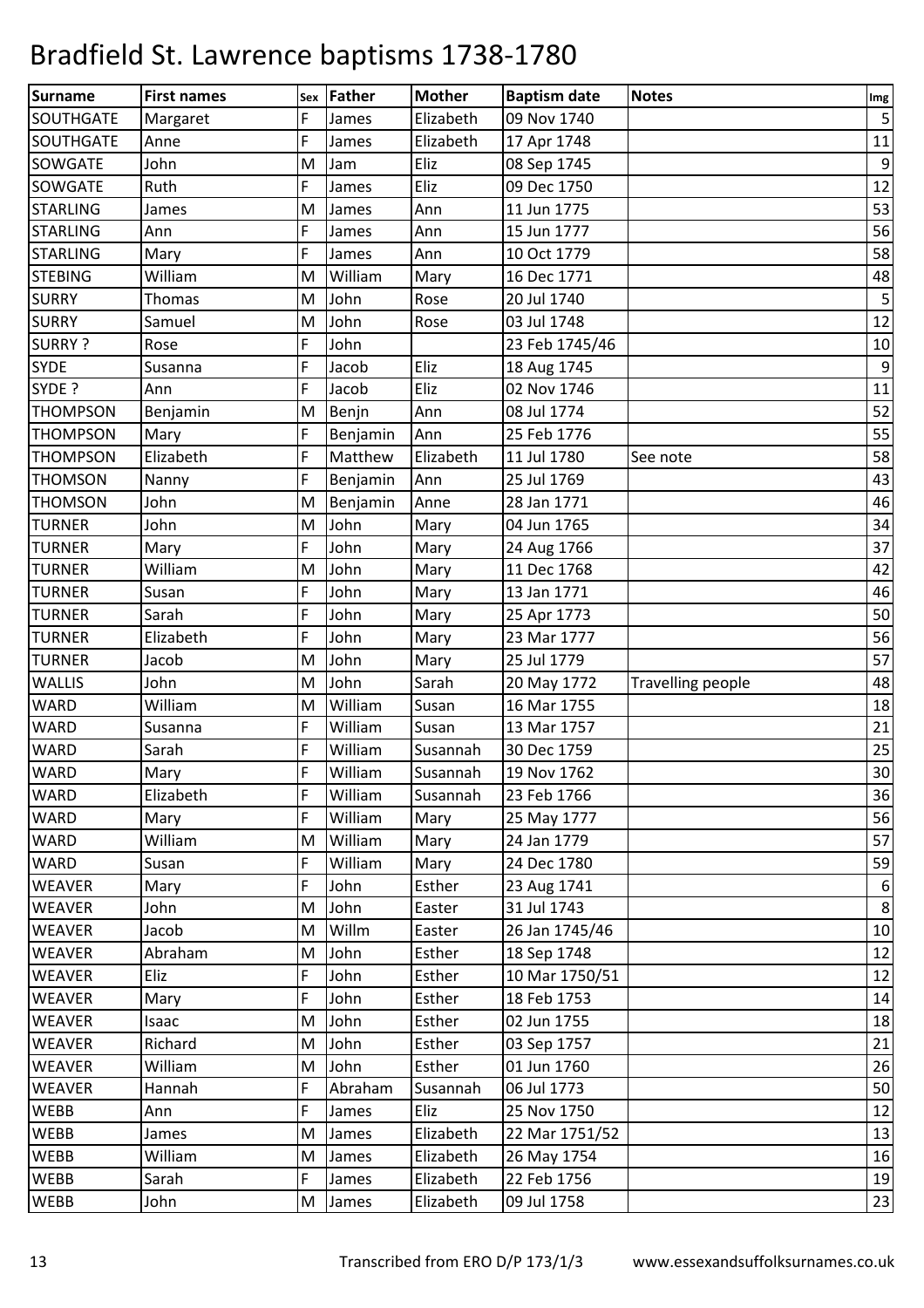| <b>Surname</b>   | <b>First names</b> | Sex | Father   | <b>Mother</b> | <b>Baptism date</b> | <b>Notes</b>      |                   |
|------------------|--------------------|-----|----------|---------------|---------------------|-------------------|-------------------|
| SOUTHGATE        | Margaret           | F   | James    | Elizabeth     | 09 Nov 1740         |                   | Img<br>$\sqrt{5}$ |
| <b>SOUTHGATE</b> | Anne               | F   | James    | Elizabeth     | 17 Apr 1748         |                   | 11                |
| <b>SOWGATE</b>   | John               | M   | Jam      | Eliz          | 08 Sep 1745         |                   | $\boldsymbol{9}$  |
| <b>SOWGATE</b>   | Ruth               | F   | James    | Eliz          | 09 Dec 1750         |                   | 12                |
| <b>STARLING</b>  | James              | M   | James    | Ann           | 11 Jun 1775         |                   | 53                |
| <b>STARLING</b>  | Ann                | F   | James    | Ann           | 15 Jun 1777         |                   | 56                |
| <b>STARLING</b>  | Mary               | F.  | James    | Ann           | 10 Oct 1779         |                   | 58                |
| <b>STEBING</b>   | William            | M   | William  | Mary          | 16 Dec 1771         |                   | 48                |
| <b>SURRY</b>     | <b>Thomas</b>      | M   | John     | Rose          | 20 Jul 1740         |                   | $\overline{5}$    |
| <b>SURRY</b>     | Samuel             | M   | John     | Rose          | 03 Jul 1748         |                   | 12                |
| <b>SURRY?</b>    | Rose               | F   | John     |               | 23 Feb 1745/46      |                   | 10                |
| <b>SYDE</b>      | Susanna            | F   | Jacob    | Eliz          | 18 Aug 1745         |                   | $9\,$             |
| SYDE ?           | Ann                | F   | Jacob    | Eliz          | 02 Nov 1746         |                   | 11                |
| <b>THOMPSON</b>  | Benjamin           | M   | Benjn    | Ann           | 08 Jul 1774         |                   | 52                |
| <b>THOMPSON</b>  | Mary               | F   | Benjamin | Ann           | 25 Feb 1776         |                   | 55                |
| <b>THOMPSON</b>  | Elizabeth          | F   | Matthew  | Elizabeth     | 11 Jul 1780         | See note          | 58                |
| <b>THOMSON</b>   | Nanny              | F   | Benjamin | Ann           | 25 Jul 1769         |                   | 43                |
| <b>THOMSON</b>   | John               | M   | Benjamin | Anne          | 28 Jan 1771         |                   | 46                |
| <b>TURNER</b>    | John               | M   | John     | Mary          | 04 Jun 1765         |                   | 34                |
| <b>TURNER</b>    | Mary               | F   | John     | Mary          | 24 Aug 1766         |                   | 37                |
| <b>TURNER</b>    | William            | M   | John     | Mary          | 11 Dec 1768         |                   | 42                |
| <b>TURNER</b>    | Susan              | F   | John     | Mary          | 13 Jan 1771         |                   | 46                |
| <b>TURNER</b>    | Sarah              | F   | John     | Mary          | 25 Apr 1773         |                   | 50                |
| <b>TURNER</b>    | Elizabeth          | F   | John     | Mary          | 23 Mar 1777         |                   | 56                |
| <b>TURNER</b>    | Jacob              | M   | John     | Mary          | 25 Jul 1779         |                   | 57                |
| <b>WALLIS</b>    | John               | M   | John     | Sarah         | 20 May 1772         | Travelling people | 48                |
| <b>WARD</b>      | William            | M   | William  | Susan         | 16 Mar 1755         |                   | 18                |
| WARD             | Susanna            | F   | William  | Susan         | 13 Mar 1757         |                   | 21                |
| <b>WARD</b>      | Sarah              | F   | William  | Susannah      | 30 Dec 1759         |                   | 25                |
| <b>WARD</b>      | Mary               | F   | William  | Susannah      | 19 Nov 1762         |                   | $30\,$            |
| <b>WARD</b>      | Elizabeth          | F   | William  | Susannah      | 23 Feb 1766         |                   | 36                |
| WARD             | Mary               | F   | William  | Mary          | 25 May 1777         |                   | 56                |
| <b>WARD</b>      | William            | M   | William  | Mary          | 24 Jan 1779         |                   | 57                |
| <b>WARD</b>      | Susan              | F   | William  | Mary          | 24 Dec 1780         |                   | 59                |
| <b>WEAVER</b>    | Mary               | F   | John     | Esther        | 23 Aug 1741         |                   | $\boldsymbol{6}$  |
| <b>WEAVER</b>    | John               | M   | John     | Easter        | 31 Jul 1743         |                   | $\bf 8$           |
| <b>WEAVER</b>    | Jacob              | M   | Willm    | Easter        | 26 Jan 1745/46      |                   | 10                |
| <b>WEAVER</b>    | Abraham            | M   | John     | Esther        | 18 Sep 1748         |                   | 12                |
| WEAVER           | Eliz               | F   | John     | Esther        | 10 Mar 1750/51      |                   | 12                |
| <b>WEAVER</b>    | Mary               | F   | John     | Esther        | 18 Feb 1753         |                   | 14                |
| <b>WEAVER</b>    | Isaac              | M   | John     | Esther        | 02 Jun 1755         |                   | 18                |
| <b>WEAVER</b>    | Richard            | M   | John     | Esther        | 03 Sep 1757         |                   | 21                |
| <b>WEAVER</b>    | William            | M   | John     | Esther        | 01 Jun 1760         |                   | 26                |
| <b>WEAVER</b>    | Hannah             | F   | Abraham  | Susannah      | 06 Jul 1773         |                   | 50                |
| <b>WEBB</b>      | Ann                | F   | James    | Eliz          | 25 Nov 1750         |                   | 12                |
| WEBB             | James              | M   | James    | Elizabeth     | 22 Mar 1751/52      |                   | 13                |
| <b>WEBB</b>      | William            | M   | James    | Elizabeth     | 26 May 1754         |                   | 16                |
| <b>WEBB</b>      | Sarah              | F   | James    | Elizabeth     | 22 Feb 1756         |                   | 19                |
| <b>WEBB</b>      | John               | M   | James    | Elizabeth     | 09 Jul 1758         |                   | 23                |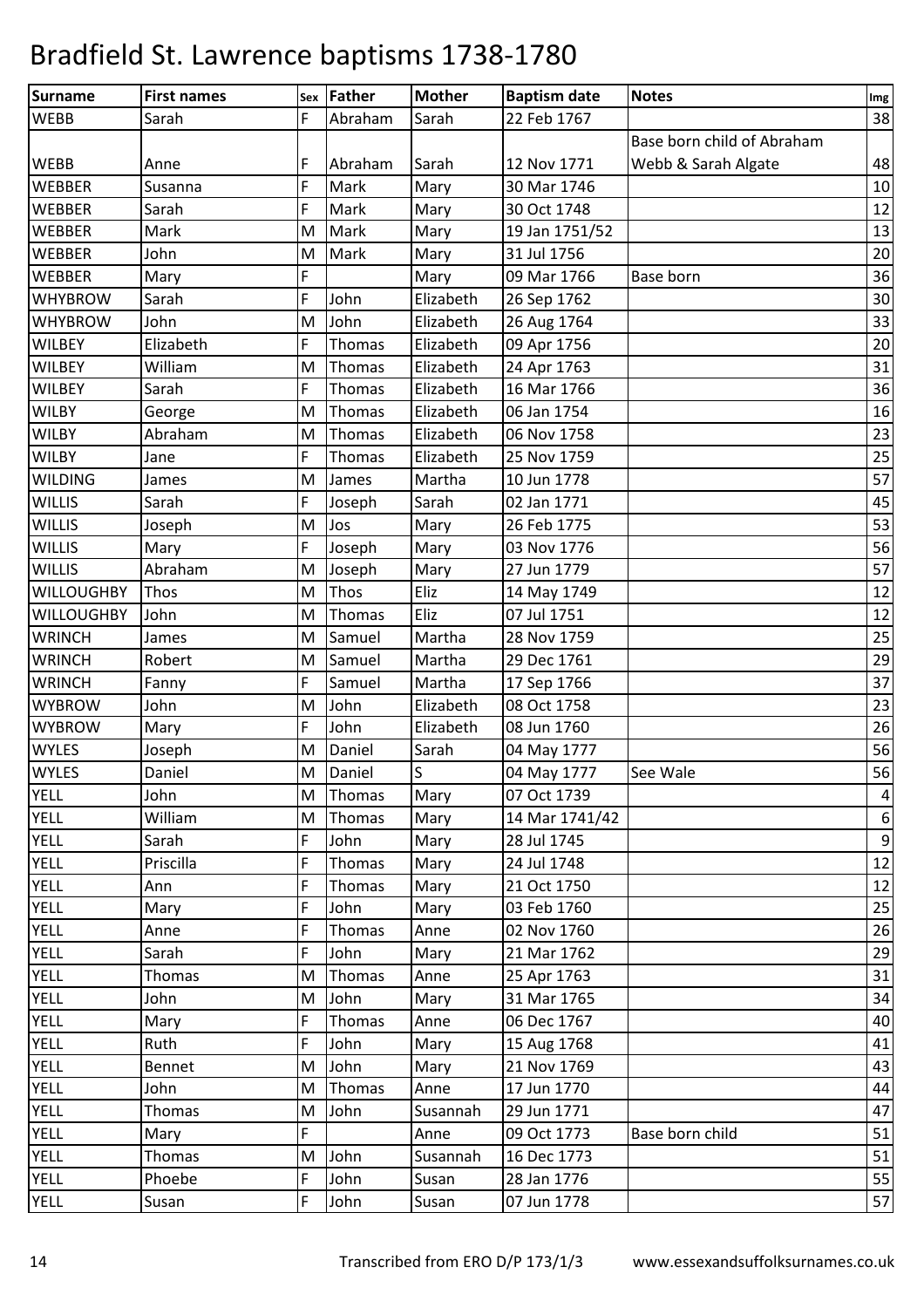| Surname           | <b>First names</b> |    | Sex Father    | <b>Mother</b> | <b>Baptism date</b> | <b>Notes</b>               | Img              |
|-------------------|--------------------|----|---------------|---------------|---------------------|----------------------------|------------------|
| <b>WEBB</b>       | Sarah              | F  | Abraham       | Sarah         | 22 Feb 1767         |                            | 38               |
|                   |                    |    |               |               |                     | Base born child of Abraham |                  |
| <b>WEBB</b>       | Anne               | F  | Abraham       | Sarah         | 12 Nov 1771         | Webb & Sarah Algate        | 48               |
| <b>WEBBER</b>     | Susanna            | F  | Mark          | Mary          | 30 Mar 1746         |                            | 10               |
| <b>WEBBER</b>     | Sarah              | F  | Mark          | Mary          | 30 Oct 1748         |                            | 12               |
| <b>WEBBER</b>     | Mark               | M  | Mark          | Mary          | 19 Jan 1751/52      |                            | 13               |
| <b>WEBBER</b>     | John               | M  | Mark          | Mary          | 31 Jul 1756         |                            | 20               |
| <b>WEBBER</b>     | Mary               | F  |               | Mary          | 09 Mar 1766         | Base born                  | 36               |
| <b>WHYBROW</b>    | Sarah              | F  | John          | Elizabeth     | 26 Sep 1762         |                            | 30               |
| <b>WHYBROW</b>    | John               | M  | John          | Elizabeth     | 26 Aug 1764         |                            | 33               |
| <b>WILBEY</b>     | Elizabeth          | F  | Thomas        | Elizabeth     | 09 Apr 1756         |                            | 20               |
| <b>WILBEY</b>     | William            | M  | Thomas        | Elizabeth     | 24 Apr 1763         |                            | 31               |
| <b>WILBEY</b>     | Sarah              | F  | Thomas        | Elizabeth     | 16 Mar 1766         |                            | 36               |
| <b>WILBY</b>      | George             | M  | Thomas        | Elizabeth     | 06 Jan 1754         |                            | 16               |
| <b>WILBY</b>      | Abraham            | M  | Thomas        | Elizabeth     | 06 Nov 1758         |                            | 23               |
| <b>WILBY</b>      | Jane               | F  | Thomas        | Elizabeth     | 25 Nov 1759         |                            | 25               |
| <b>WILDING</b>    | James              | M  | James         | Martha        | 10 Jun 1778         |                            | 57               |
| WILLIS            | Sarah              | F. | Joseph        | Sarah         | 02 Jan 1771         |                            | 45               |
| <b>WILLIS</b>     | Joseph             | M  | Jos           | Mary          | 26 Feb 1775         |                            | 53               |
| <b>WILLIS</b>     | Mary               | F  | Joseph        | Mary          | 03 Nov 1776         |                            | 56               |
| <b>WILLIS</b>     | Abraham            | M  | Joseph        | Mary          | 27 Jun 1779         |                            | 57               |
| <b>WILLOUGHBY</b> | Thos               | M  | Thos          | Eliz          | 14 May 1749         |                            | $12\,$           |
| <b>WILLOUGHBY</b> | John               | M  | <b>Thomas</b> | Eliz          | 07 Jul 1751         |                            | 12               |
| <b>WRINCH</b>     | James              | M  | Samuel        | Martha        | 28 Nov 1759         |                            | 25               |
| <b>WRINCH</b>     | Robert             | M  | Samuel        | Martha        | 29 Dec 1761         |                            | 29               |
| <b>WRINCH</b>     | Fanny              | F  | Samuel        | Martha        | 17 Sep 1766         |                            | 37               |
| <b>WYBROW</b>     | John               | M  | John          | Elizabeth     | 08 Oct 1758         |                            | 23               |
| <b>WYBROW</b>     | Mary               | F  | John          | Elizabeth     | 08 Jun 1760         |                            | 26               |
| <b>WYLES</b>      | Joseph             | M  | Daniel        | Sarah         | 04 May 1777         |                            | 56               |
| <b>WYLES</b>      | Daniel             | M  | Daniel        | <sub>S</sub>  | 04 May 1777         | See Wale                   | 56               |
| <b>YELL</b>       | John               | М  | Thomas        | Mary          | 07 Oct 1739         |                            | $\sqrt{4}$       |
| <b>YELL</b>       | William            | M  | Thomas        | Mary          | 14 Mar 1741/42      |                            | $\boldsymbol{6}$ |
| <b>YELL</b>       | Sarah              | F  | John          | Mary          | 28 Jul 1745         |                            | $\boldsymbol{9}$ |
| <b>YELL</b>       | Priscilla          | F  | Thomas        | Mary          | 24 Jul 1748         |                            | 12               |
| <b>YELL</b>       | Ann                | F  | Thomas        | Mary          | 21 Oct 1750         |                            | 12               |
| <b>YELL</b>       | Mary               | F  | John          | Mary          | 03 Feb 1760         |                            | 25               |
| <b>YELL</b>       | Anne               | F. | Thomas        | Anne          | 02 Nov 1760         |                            | 26               |
| <b>YELL</b>       | Sarah              | F  | John          | Mary          | 21 Mar 1762         |                            | 29               |
| <b>YELL</b>       | <b>Thomas</b>      | M  | Thomas        | Anne          | 25 Apr 1763         |                            | 31               |
| <b>YELL</b>       | John               | M  | John          | Mary          | 31 Mar 1765         |                            | 34               |
| <b>YELL</b>       | Mary               | F  | Thomas        | Anne          | 06 Dec 1767         |                            | 40               |
| <b>YELL</b>       | Ruth               | F  | John          | Mary          | 15 Aug 1768         |                            | 41               |
| <b>YELL</b>       | Bennet             | M  | John          | Mary          | 21 Nov 1769         |                            | 43               |
| <b>YELL</b>       | John               | M  | Thomas        | Anne          | 17 Jun 1770         |                            | 44               |
| <b>YELL</b>       | Thomas             | M  | John          | Susannah      | 29 Jun 1771         |                            | 47               |
| <b>YELL</b>       | Mary               | F  |               | Anne          | 09 Oct 1773         | Base born child            | 51               |
| <b>YELL</b>       | <b>Thomas</b>      | M  | John          | Susannah      | 16 Dec 1773         |                            | 51               |
| <b>YELL</b>       | Phoebe             | F  | John          | Susan         | 28 Jan 1776         |                            | 55               |
| <b>YELL</b>       | Susan              | F  | John          | Susan         | 07 Jun 1778         |                            | 57               |